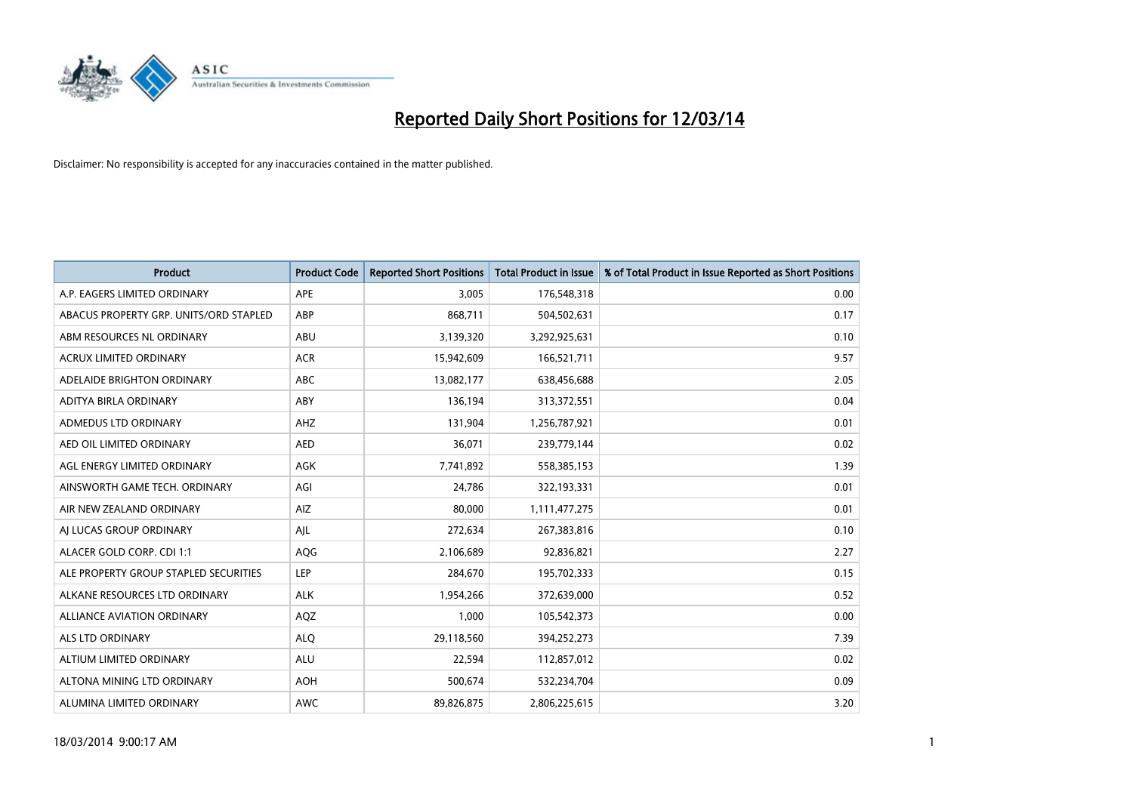

| <b>Product</b>                         | <b>Product Code</b> | <b>Reported Short Positions</b> | <b>Total Product in Issue</b> | % of Total Product in Issue Reported as Short Positions |
|----------------------------------------|---------------------|---------------------------------|-------------------------------|---------------------------------------------------------|
| A.P. EAGERS LIMITED ORDINARY           | APE                 | 3,005                           | 176,548,318                   | 0.00                                                    |
| ABACUS PROPERTY GRP. UNITS/ORD STAPLED | ABP                 | 868,711                         | 504,502,631                   | 0.17                                                    |
| ABM RESOURCES NL ORDINARY              | <b>ABU</b>          | 3,139,320                       | 3,292,925,631                 | 0.10                                                    |
| ACRUX LIMITED ORDINARY                 | <b>ACR</b>          | 15,942,609                      | 166,521,711                   | 9.57                                                    |
| ADELAIDE BRIGHTON ORDINARY             | <b>ABC</b>          | 13,082,177                      | 638,456,688                   | 2.05                                                    |
| ADITYA BIRLA ORDINARY                  | ABY                 | 136,194                         | 313,372,551                   | 0.04                                                    |
| ADMEDUS LTD ORDINARY                   | AHZ                 | 131,904                         | 1,256,787,921                 | 0.01                                                    |
| AED OIL LIMITED ORDINARY               | <b>AED</b>          | 36,071                          | 239,779,144                   | 0.02                                                    |
| AGL ENERGY LIMITED ORDINARY            | AGK                 | 7,741,892                       | 558,385,153                   | 1.39                                                    |
| AINSWORTH GAME TECH. ORDINARY          | AGI                 | 24,786                          | 322,193,331                   | 0.01                                                    |
| AIR NEW ZEALAND ORDINARY               | AIZ                 | 80,000                          | 1,111,477,275                 | 0.01                                                    |
| AI LUCAS GROUP ORDINARY                | AJL                 | 272,634                         | 267,383,816                   | 0.10                                                    |
| ALACER GOLD CORP. CDI 1:1              | AQG                 | 2,106,689                       | 92,836,821                    | 2.27                                                    |
| ALE PROPERTY GROUP STAPLED SECURITIES  | LEP                 | 284,670                         | 195,702,333                   | 0.15                                                    |
| ALKANE RESOURCES LTD ORDINARY          | <b>ALK</b>          | 1,954,266                       | 372,639,000                   | 0.52                                                    |
| ALLIANCE AVIATION ORDINARY             | AQZ                 | 1,000                           | 105,542,373                   | 0.00                                                    |
| <b>ALS LTD ORDINARY</b>                | <b>ALO</b>          | 29,118,560                      | 394,252,273                   | 7.39                                                    |
| ALTIUM LIMITED ORDINARY                | <b>ALU</b>          | 22,594                          | 112,857,012                   | 0.02                                                    |
| ALTONA MINING LTD ORDINARY             | <b>AOH</b>          | 500,674                         | 532,234,704                   | 0.09                                                    |
| ALUMINA LIMITED ORDINARY               | <b>AWC</b>          | 89,826,875                      | 2,806,225,615                 | 3.20                                                    |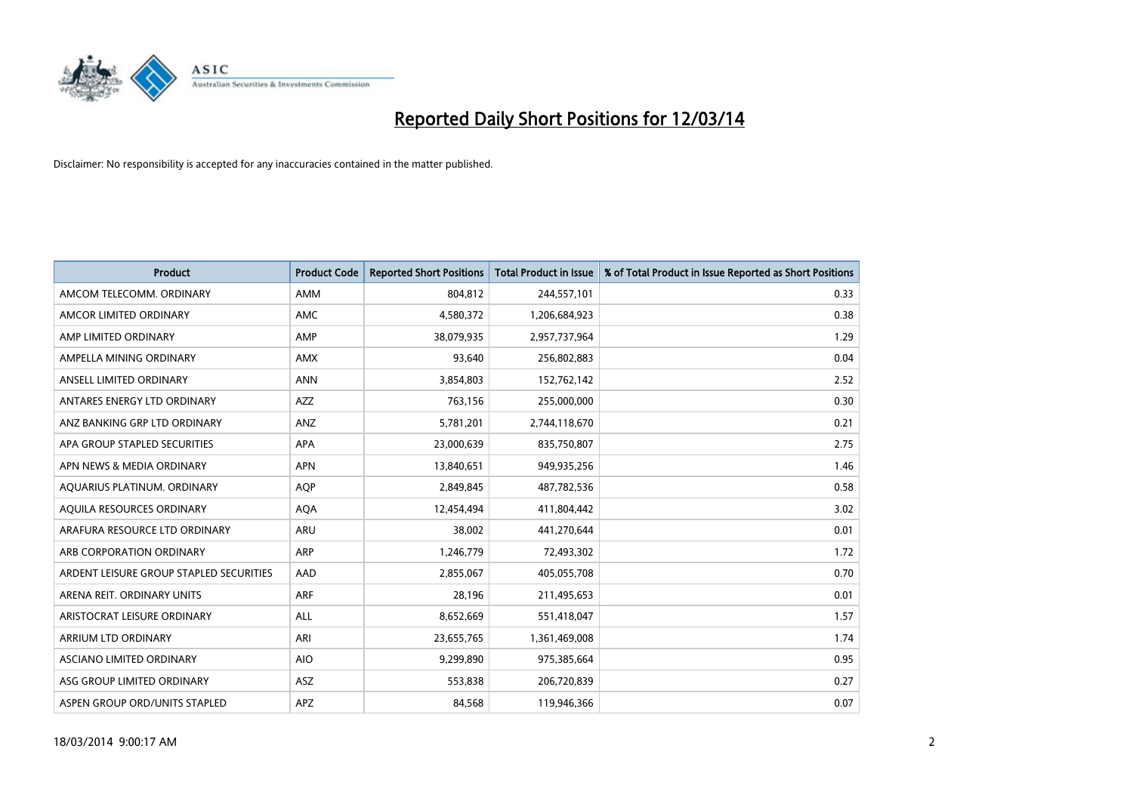

| <b>Product</b>                          | <b>Product Code</b> | <b>Reported Short Positions</b> | <b>Total Product in Issue</b> | % of Total Product in Issue Reported as Short Positions |
|-----------------------------------------|---------------------|---------------------------------|-------------------------------|---------------------------------------------------------|
| AMCOM TELECOMM, ORDINARY                | AMM                 | 804,812                         | 244,557,101                   | 0.33                                                    |
| AMCOR LIMITED ORDINARY                  | <b>AMC</b>          | 4,580,372                       | 1,206,684,923                 | 0.38                                                    |
| AMP LIMITED ORDINARY                    | AMP                 | 38,079,935                      | 2,957,737,964                 | 1.29                                                    |
| AMPELLA MINING ORDINARY                 | <b>AMX</b>          | 93,640                          | 256,802,883                   | 0.04                                                    |
| ANSELL LIMITED ORDINARY                 | <b>ANN</b>          | 3,854,803                       | 152,762,142                   | 2.52                                                    |
| ANTARES ENERGY LTD ORDINARY             | <b>AZZ</b>          | 763,156                         | 255,000,000                   | 0.30                                                    |
| ANZ BANKING GRP LTD ORDINARY            | ANZ                 | 5,781,201                       | 2,744,118,670                 | 0.21                                                    |
| APA GROUP STAPLED SECURITIES            | <b>APA</b>          | 23,000,639                      | 835,750,807                   | 2.75                                                    |
| APN NEWS & MEDIA ORDINARY               | <b>APN</b>          | 13,840,651                      | 949,935,256                   | 1.46                                                    |
| AQUARIUS PLATINUM. ORDINARY             | <b>AOP</b>          | 2,849,845                       | 487,782,536                   | 0.58                                                    |
| AQUILA RESOURCES ORDINARY               | <b>AQA</b>          | 12,454,494                      | 411,804,442                   | 3.02                                                    |
| ARAFURA RESOURCE LTD ORDINARY           | <b>ARU</b>          | 38,002                          | 441,270,644                   | 0.01                                                    |
| ARB CORPORATION ORDINARY                | <b>ARP</b>          | 1,246,779                       | 72,493,302                    | 1.72                                                    |
| ARDENT LEISURE GROUP STAPLED SECURITIES | AAD                 | 2,855,067                       | 405,055,708                   | 0.70                                                    |
| ARENA REIT. ORDINARY UNITS              | <b>ARF</b>          | 28,196                          | 211,495,653                   | 0.01                                                    |
| ARISTOCRAT LEISURE ORDINARY             | <b>ALL</b>          | 8,652,669                       | 551,418,047                   | 1.57                                                    |
| ARRIUM LTD ORDINARY                     | ARI                 | 23,655,765                      | 1,361,469,008                 | 1.74                                                    |
| ASCIANO LIMITED ORDINARY                | <b>AIO</b>          | 9,299,890                       | 975,385,664                   | 0.95                                                    |
| ASG GROUP LIMITED ORDINARY              | <b>ASZ</b>          | 553,838                         | 206,720,839                   | 0.27                                                    |
| ASPEN GROUP ORD/UNITS STAPLED           | <b>APZ</b>          | 84,568                          | 119,946,366                   | 0.07                                                    |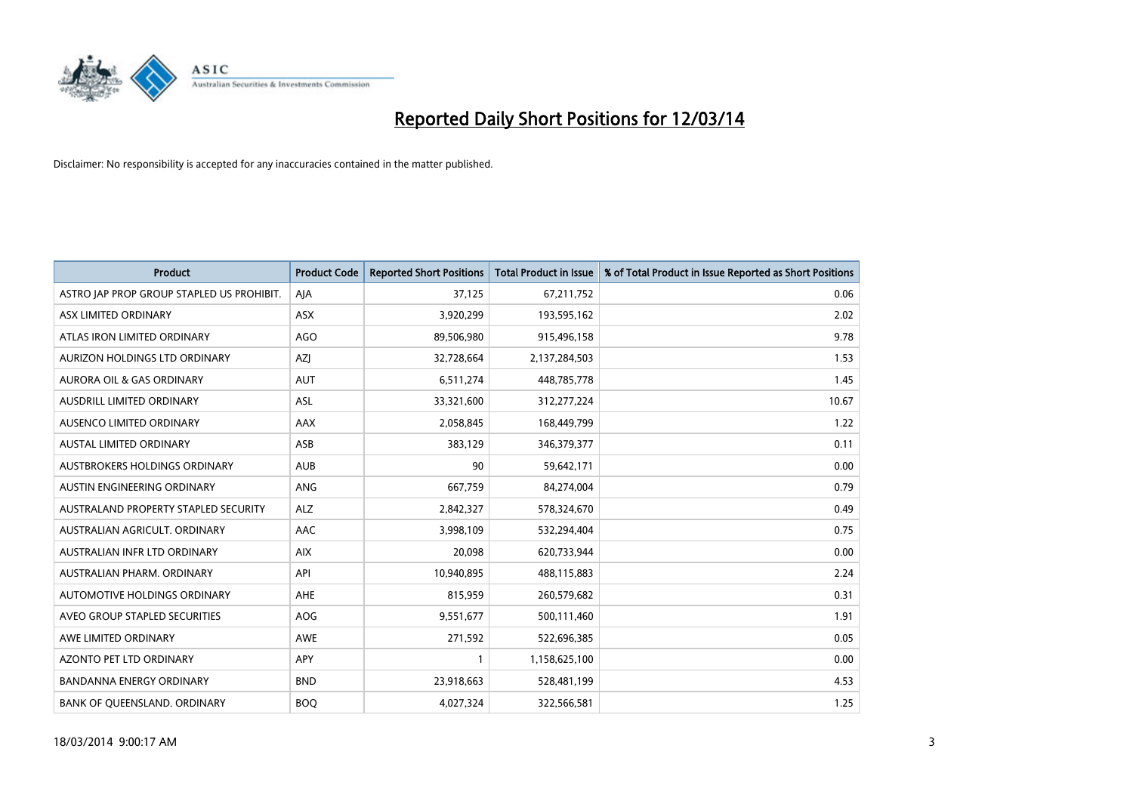

| <b>Product</b>                            | <b>Product Code</b> | <b>Reported Short Positions</b> | <b>Total Product in Issue</b> | % of Total Product in Issue Reported as Short Positions |
|-------------------------------------------|---------------------|---------------------------------|-------------------------------|---------------------------------------------------------|
| ASTRO JAP PROP GROUP STAPLED US PROHIBIT. | AJA                 | 37,125                          | 67,211,752                    | 0.06                                                    |
| ASX LIMITED ORDINARY                      | ASX                 | 3,920,299                       | 193,595,162                   | 2.02                                                    |
| ATLAS IRON LIMITED ORDINARY               | <b>AGO</b>          | 89,506,980                      | 915,496,158                   | 9.78                                                    |
| AURIZON HOLDINGS LTD ORDINARY             | AZJ                 | 32,728,664                      | 2,137,284,503                 | 1.53                                                    |
| <b>AURORA OIL &amp; GAS ORDINARY</b>      | <b>AUT</b>          | 6,511,274                       | 448,785,778                   | 1.45                                                    |
| AUSDRILL LIMITED ORDINARY                 | <b>ASL</b>          | 33,321,600                      | 312,277,224                   | 10.67                                                   |
| AUSENCO LIMITED ORDINARY                  | <b>AAX</b>          | 2,058,845                       | 168,449,799                   | 1.22                                                    |
| AUSTAL LIMITED ORDINARY                   | ASB                 | 383,129                         | 346, 379, 377                 | 0.11                                                    |
| AUSTBROKERS HOLDINGS ORDINARY             | <b>AUB</b>          | 90                              | 59,642,171                    | 0.00                                                    |
| AUSTIN ENGINEERING ORDINARY               | ANG                 | 667,759                         | 84,274,004                    | 0.79                                                    |
| AUSTRALAND PROPERTY STAPLED SECURITY      | <b>ALZ</b>          | 2,842,327                       | 578,324,670                   | 0.49                                                    |
| AUSTRALIAN AGRICULT, ORDINARY             | AAC                 | 3,998,109                       | 532,294,404                   | 0.75                                                    |
| AUSTRALIAN INFR LTD ORDINARY              | <b>AIX</b>          | 20,098                          | 620,733,944                   | 0.00                                                    |
| AUSTRALIAN PHARM. ORDINARY                | API                 | 10,940,895                      | 488,115,883                   | 2.24                                                    |
| AUTOMOTIVE HOLDINGS ORDINARY              | <b>AHE</b>          | 815,959                         | 260,579,682                   | 0.31                                                    |
| AVEO GROUP STAPLED SECURITIES             | <b>AOG</b>          | 9,551,677                       | 500,111,460                   | 1.91                                                    |
| AWE LIMITED ORDINARY                      | AWE                 | 271,592                         | 522,696,385                   | 0.05                                                    |
| AZONTO PET LTD ORDINARY                   | <b>APY</b>          |                                 | 1,158,625,100                 | 0.00                                                    |
| <b>BANDANNA ENERGY ORDINARY</b>           | <b>BND</b>          | 23,918,663                      | 528,481,199                   | 4.53                                                    |
| BANK OF QUEENSLAND. ORDINARY              | <b>BOQ</b>          | 4,027,324                       | 322,566,581                   | 1.25                                                    |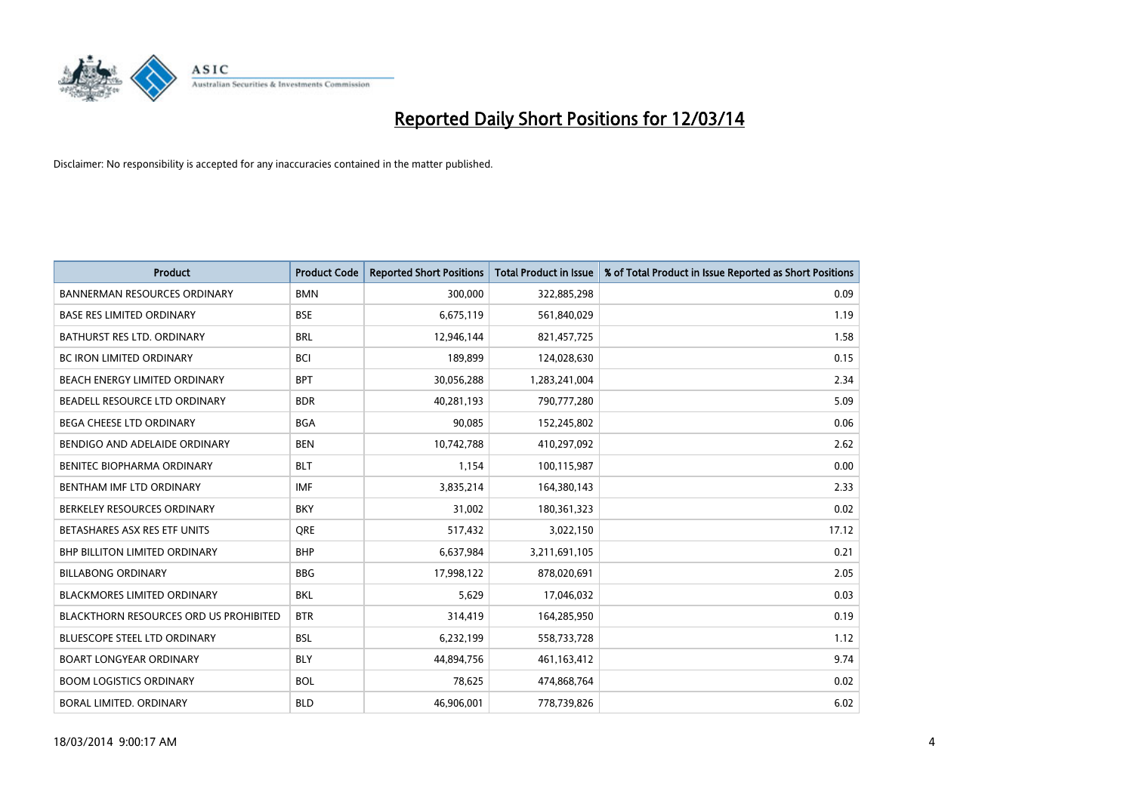

| <b>Product</b>                         | <b>Product Code</b> | <b>Reported Short Positions</b> | <b>Total Product in Issue</b> | % of Total Product in Issue Reported as Short Positions |
|----------------------------------------|---------------------|---------------------------------|-------------------------------|---------------------------------------------------------|
| <b>BANNERMAN RESOURCES ORDINARY</b>    | <b>BMN</b>          | 300,000                         | 322,885,298                   | 0.09                                                    |
| <b>BASE RES LIMITED ORDINARY</b>       | <b>BSE</b>          | 6,675,119                       | 561,840,029                   | 1.19                                                    |
| BATHURST RES LTD. ORDINARY             | <b>BRL</b>          | 12,946,144                      | 821,457,725                   | 1.58                                                    |
| <b>BC IRON LIMITED ORDINARY</b>        | <b>BCI</b>          | 189,899                         | 124,028,630                   | 0.15                                                    |
| BEACH ENERGY LIMITED ORDINARY          | <b>BPT</b>          | 30,056,288                      | 1,283,241,004                 | 2.34                                                    |
| BEADELL RESOURCE LTD ORDINARY          | <b>BDR</b>          | 40,281,193                      | 790,777,280                   | 5.09                                                    |
| BEGA CHEESE LTD ORDINARY               | <b>BGA</b>          | 90,085                          | 152,245,802                   | 0.06                                                    |
| BENDIGO AND ADELAIDE ORDINARY          | <b>BEN</b>          | 10,742,788                      | 410,297,092                   | 2.62                                                    |
| BENITEC BIOPHARMA ORDINARY             | <b>BLT</b>          | 1,154                           | 100,115,987                   | 0.00                                                    |
| BENTHAM IMF LTD ORDINARY               | <b>IMF</b>          | 3,835,214                       | 164,380,143                   | 2.33                                                    |
| BERKELEY RESOURCES ORDINARY            | <b>BKY</b>          | 31,002                          | 180, 361, 323                 | 0.02                                                    |
| BETASHARES ASX RES ETF UNITS           | <b>ORE</b>          | 517,432                         | 3,022,150                     | 17.12                                                   |
| <b>BHP BILLITON LIMITED ORDINARY</b>   | <b>BHP</b>          | 6,637,984                       | 3,211,691,105                 | 0.21                                                    |
| <b>BILLABONG ORDINARY</b>              | <b>BBG</b>          | 17,998,122                      | 878,020,691                   | 2.05                                                    |
| <b>BLACKMORES LIMITED ORDINARY</b>     | <b>BKL</b>          | 5,629                           | 17,046,032                    | 0.03                                                    |
| BLACKTHORN RESOURCES ORD US PROHIBITED | <b>BTR</b>          | 314,419                         | 164,285,950                   | 0.19                                                    |
| <b>BLUESCOPE STEEL LTD ORDINARY</b>    | <b>BSL</b>          | 6,232,199                       | 558,733,728                   | 1.12                                                    |
| <b>BOART LONGYEAR ORDINARY</b>         | <b>BLY</b>          | 44,894,756                      | 461,163,412                   | 9.74                                                    |
| <b>BOOM LOGISTICS ORDINARY</b>         | <b>BOL</b>          | 78,625                          | 474,868,764                   | 0.02                                                    |
| BORAL LIMITED. ORDINARY                | <b>BLD</b>          | 46,906,001                      | 778,739,826                   | 6.02                                                    |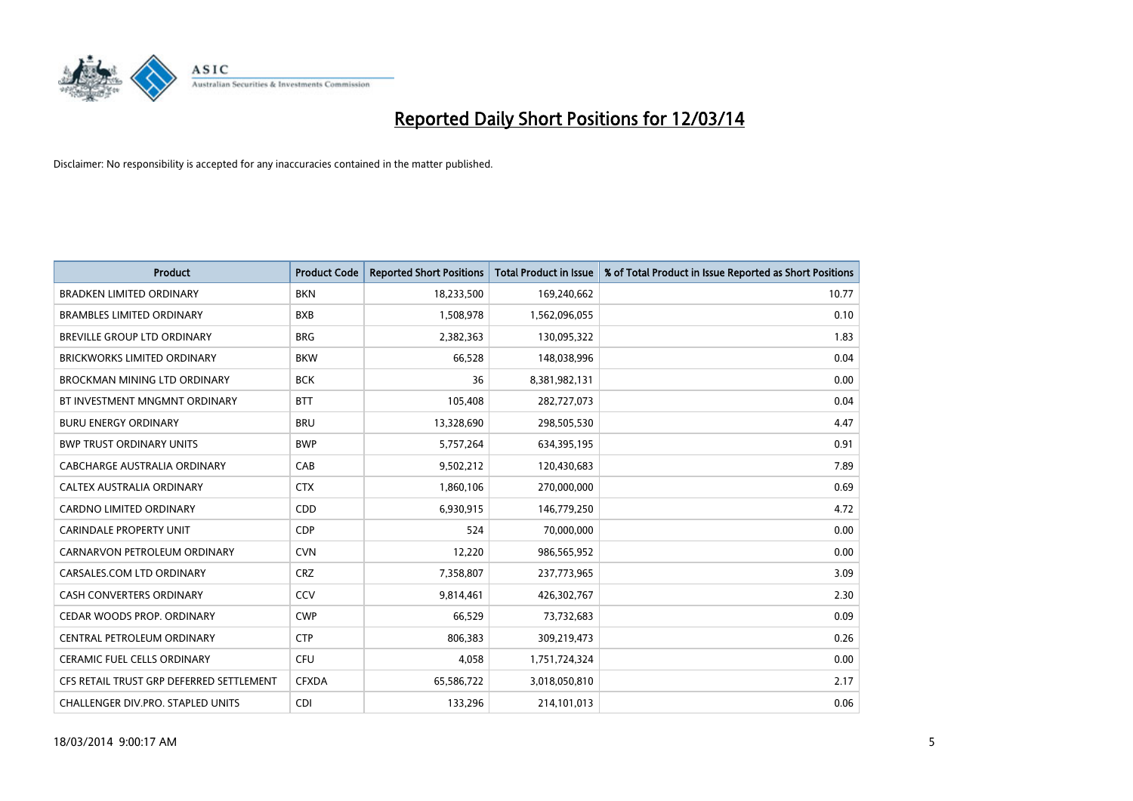

| <b>Product</b>                           | <b>Product Code</b> | <b>Reported Short Positions</b> | <b>Total Product in Issue</b> | % of Total Product in Issue Reported as Short Positions |
|------------------------------------------|---------------------|---------------------------------|-------------------------------|---------------------------------------------------------|
| <b>BRADKEN LIMITED ORDINARY</b>          | <b>BKN</b>          | 18,233,500                      | 169,240,662                   | 10.77                                                   |
| <b>BRAMBLES LIMITED ORDINARY</b>         | <b>BXB</b>          | 1,508,978                       | 1,562,096,055                 | 0.10                                                    |
| <b>BREVILLE GROUP LTD ORDINARY</b>       | <b>BRG</b>          | 2,382,363                       | 130,095,322                   | 1.83                                                    |
| <b>BRICKWORKS LIMITED ORDINARY</b>       | <b>BKW</b>          | 66,528                          | 148,038,996                   | 0.04                                                    |
| <b>BROCKMAN MINING LTD ORDINARY</b>      | <b>BCK</b>          | 36                              | 8,381,982,131                 | 0.00                                                    |
| BT INVESTMENT MNGMNT ORDINARY            | <b>BTT</b>          | 105,408                         | 282,727,073                   | 0.04                                                    |
| <b>BURU ENERGY ORDINARY</b>              | <b>BRU</b>          | 13,328,690                      | 298,505,530                   | 4.47                                                    |
| <b>BWP TRUST ORDINARY UNITS</b>          | <b>BWP</b>          | 5,757,264                       | 634,395,195                   | 0.91                                                    |
| CABCHARGE AUSTRALIA ORDINARY             | CAB                 | 9,502,212                       | 120,430,683                   | 7.89                                                    |
| <b>CALTEX AUSTRALIA ORDINARY</b>         | <b>CTX</b>          | 1,860,106                       | 270,000,000                   | 0.69                                                    |
| CARDNO LIMITED ORDINARY                  | <b>CDD</b>          | 6,930,915                       | 146,779,250                   | 4.72                                                    |
| <b>CARINDALE PROPERTY UNIT</b>           | <b>CDP</b>          | 524                             | 70,000,000                    | 0.00                                                    |
| CARNARVON PETROLEUM ORDINARY             | <b>CVN</b>          | 12,220                          | 986,565,952                   | 0.00                                                    |
| CARSALES.COM LTD ORDINARY                | <b>CRZ</b>          | 7,358,807                       | 237,773,965                   | 3.09                                                    |
| <b>CASH CONVERTERS ORDINARY</b>          | CCV                 | 9,814,461                       | 426,302,767                   | 2.30                                                    |
| CEDAR WOODS PROP. ORDINARY               | <b>CWP</b>          | 66,529                          | 73,732,683                    | 0.09                                                    |
| CENTRAL PETROLEUM ORDINARY               | <b>CTP</b>          | 806,383                         | 309,219,473                   | 0.26                                                    |
| <b>CERAMIC FUEL CELLS ORDINARY</b>       | CFU                 | 4,058                           | 1,751,724,324                 | 0.00                                                    |
| CFS RETAIL TRUST GRP DEFERRED SETTLEMENT | <b>CFXDA</b>        | 65,586,722                      | 3,018,050,810                 | 2.17                                                    |
| CHALLENGER DIV.PRO. STAPLED UNITS        | <b>CDI</b>          | 133,296                         | 214,101,013                   | 0.06                                                    |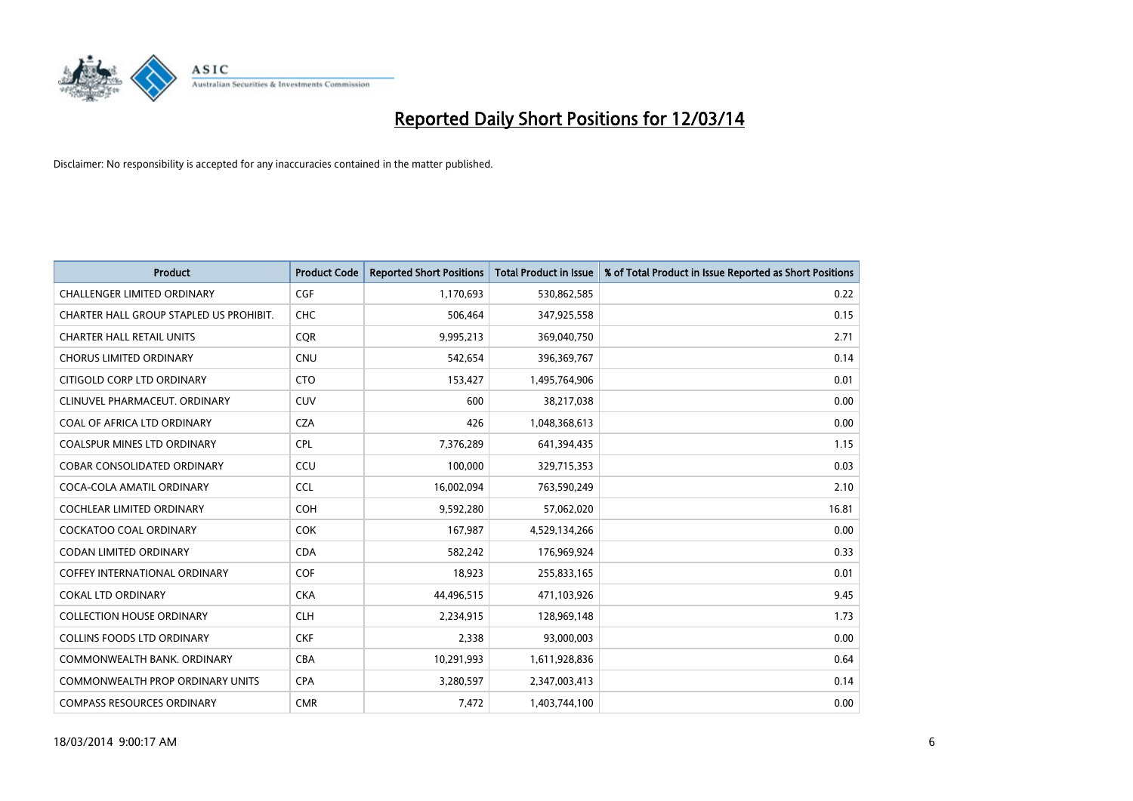

| <b>Product</b>                          | <b>Product Code</b> | <b>Reported Short Positions</b> | <b>Total Product in Issue</b> | % of Total Product in Issue Reported as Short Positions |
|-----------------------------------------|---------------------|---------------------------------|-------------------------------|---------------------------------------------------------|
| <b>CHALLENGER LIMITED ORDINARY</b>      | <b>CGF</b>          | 1,170,693                       | 530,862,585                   | 0.22                                                    |
| CHARTER HALL GROUP STAPLED US PROHIBIT. | <b>CHC</b>          | 506,464                         | 347,925,558                   | 0.15                                                    |
| <b>CHARTER HALL RETAIL UNITS</b>        | <b>COR</b>          | 9,995,213                       | 369,040,750                   | 2.71                                                    |
| <b>CHORUS LIMITED ORDINARY</b>          | <b>CNU</b>          | 542,654                         | 396,369,767                   | 0.14                                                    |
| CITIGOLD CORP LTD ORDINARY              | <b>CTO</b>          | 153,427                         | 1,495,764,906                 | 0.01                                                    |
| CLINUVEL PHARMACEUT, ORDINARY           | CUV                 | 600                             | 38,217,038                    | 0.00                                                    |
| COAL OF AFRICA LTD ORDINARY             | <b>CZA</b>          | 426                             | 1,048,368,613                 | 0.00                                                    |
| COALSPUR MINES LTD ORDINARY             | <b>CPL</b>          | 7,376,289                       | 641,394,435                   | 1.15                                                    |
| <b>COBAR CONSOLIDATED ORDINARY</b>      | CCU                 | 100.000                         | 329,715,353                   | 0.03                                                    |
| COCA-COLA AMATIL ORDINARY               | <b>CCL</b>          | 16,002,094                      | 763,590,249                   | 2.10                                                    |
| COCHLEAR LIMITED ORDINARY               | <b>COH</b>          | 9,592,280                       | 57,062,020                    | 16.81                                                   |
| <b>COCKATOO COAL ORDINARY</b>           | <b>COK</b>          | 167,987                         | 4,529,134,266                 | 0.00                                                    |
| CODAN LIMITED ORDINARY                  | <b>CDA</b>          | 582,242                         | 176,969,924                   | 0.33                                                    |
| <b>COFFEY INTERNATIONAL ORDINARY</b>    | <b>COF</b>          | 18,923                          | 255,833,165                   | 0.01                                                    |
| <b>COKAL LTD ORDINARY</b>               | <b>CKA</b>          | 44,496,515                      | 471,103,926                   | 9.45                                                    |
| <b>COLLECTION HOUSE ORDINARY</b>        | <b>CLH</b>          | 2,234,915                       | 128,969,148                   | 1.73                                                    |
| <b>COLLINS FOODS LTD ORDINARY</b>       | <b>CKF</b>          | 2,338                           | 93,000,003                    | 0.00                                                    |
| COMMONWEALTH BANK, ORDINARY             | <b>CBA</b>          | 10,291,993                      | 1,611,928,836                 | 0.64                                                    |
| <b>COMMONWEALTH PROP ORDINARY UNITS</b> | <b>CPA</b>          | 3,280,597                       | 2,347,003,413                 | 0.14                                                    |
| <b>COMPASS RESOURCES ORDINARY</b>       | <b>CMR</b>          | 7,472                           | 1,403,744,100                 | 0.00                                                    |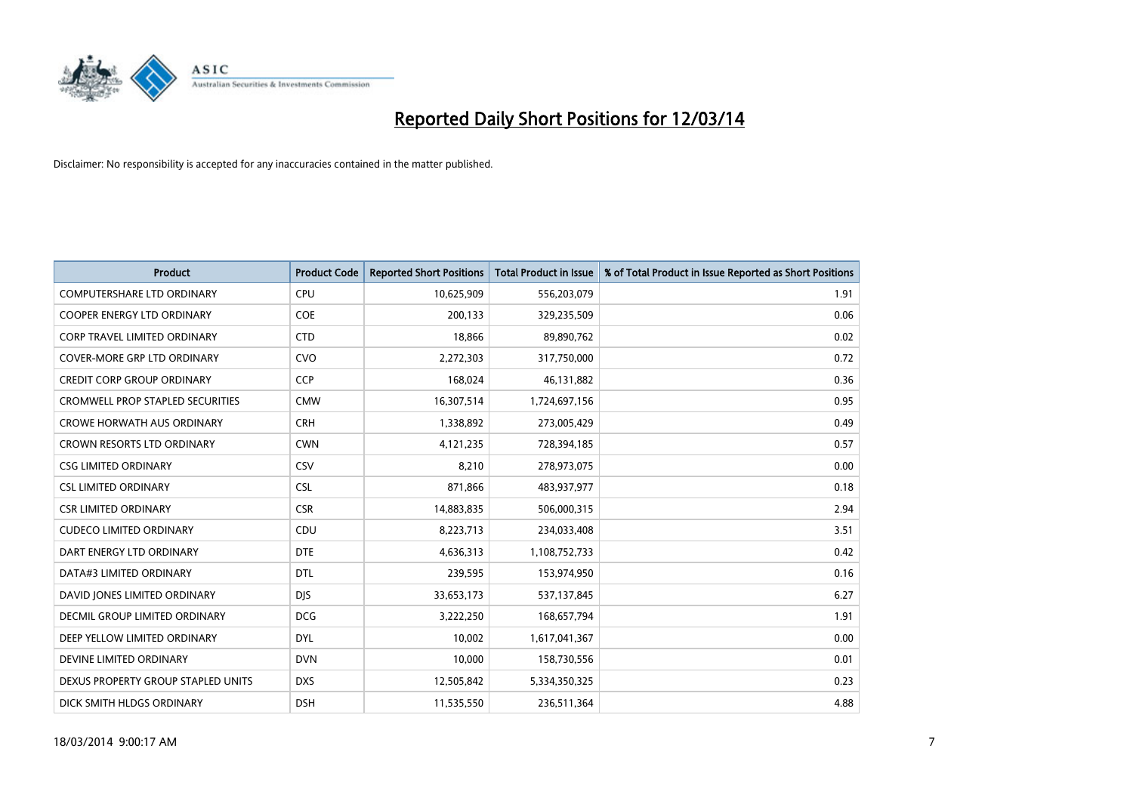

| <b>Product</b>                          | <b>Product Code</b> | <b>Reported Short Positions</b> | Total Product in Issue | % of Total Product in Issue Reported as Short Positions |
|-----------------------------------------|---------------------|---------------------------------|------------------------|---------------------------------------------------------|
| <b>COMPUTERSHARE LTD ORDINARY</b>       | <b>CPU</b>          | 10,625,909                      | 556,203,079            | 1.91                                                    |
| COOPER ENERGY LTD ORDINARY              | <b>COE</b>          | 200,133                         | 329,235,509            | 0.06                                                    |
| <b>CORP TRAVEL LIMITED ORDINARY</b>     | <b>CTD</b>          | 18,866                          | 89,890,762             | 0.02                                                    |
| COVER-MORE GRP LTD ORDINARY             | <b>CVO</b>          | 2,272,303                       | 317,750,000            | 0.72                                                    |
| <b>CREDIT CORP GROUP ORDINARY</b>       | <b>CCP</b>          | 168,024                         | 46,131,882             | 0.36                                                    |
| <b>CROMWELL PROP STAPLED SECURITIES</b> | <b>CMW</b>          | 16,307,514                      | 1,724,697,156          | 0.95                                                    |
| <b>CROWE HORWATH AUS ORDINARY</b>       | <b>CRH</b>          | 1,338,892                       | 273,005,429            | 0.49                                                    |
| <b>CROWN RESORTS LTD ORDINARY</b>       | <b>CWN</b>          | 4,121,235                       | 728,394,185            | 0.57                                                    |
| <b>CSG LIMITED ORDINARY</b>             | CSV                 | 8,210                           | 278,973,075            | 0.00                                                    |
| <b>CSL LIMITED ORDINARY</b>             | <b>CSL</b>          | 871,866                         | 483,937,977            | 0.18                                                    |
| <b>CSR LIMITED ORDINARY</b>             | <b>CSR</b>          | 14,883,835                      | 506,000,315            | 2.94                                                    |
| <b>CUDECO LIMITED ORDINARY</b>          | CDU                 | 8,223,713                       | 234,033,408            | 3.51                                                    |
| DART ENERGY LTD ORDINARY                | <b>DTE</b>          | 4,636,313                       | 1,108,752,733          | 0.42                                                    |
| DATA#3 LIMITED ORDINARY                 | <b>DTL</b>          | 239,595                         | 153,974,950            | 0.16                                                    |
| DAVID JONES LIMITED ORDINARY            | <b>DJS</b>          | 33,653,173                      | 537,137,845            | 6.27                                                    |
| DECMIL GROUP LIMITED ORDINARY           | <b>DCG</b>          | 3,222,250                       | 168,657,794            | 1.91                                                    |
| DEEP YELLOW LIMITED ORDINARY            | <b>DYL</b>          | 10,002                          | 1,617,041,367          | 0.00                                                    |
| DEVINE LIMITED ORDINARY                 | <b>DVN</b>          | 10,000                          | 158,730,556            | 0.01                                                    |
| DEXUS PROPERTY GROUP STAPLED UNITS      | <b>DXS</b>          | 12,505,842                      | 5,334,350,325          | 0.23                                                    |
| DICK SMITH HLDGS ORDINARY               | <b>DSH</b>          | 11,535,550                      | 236,511,364            | 4.88                                                    |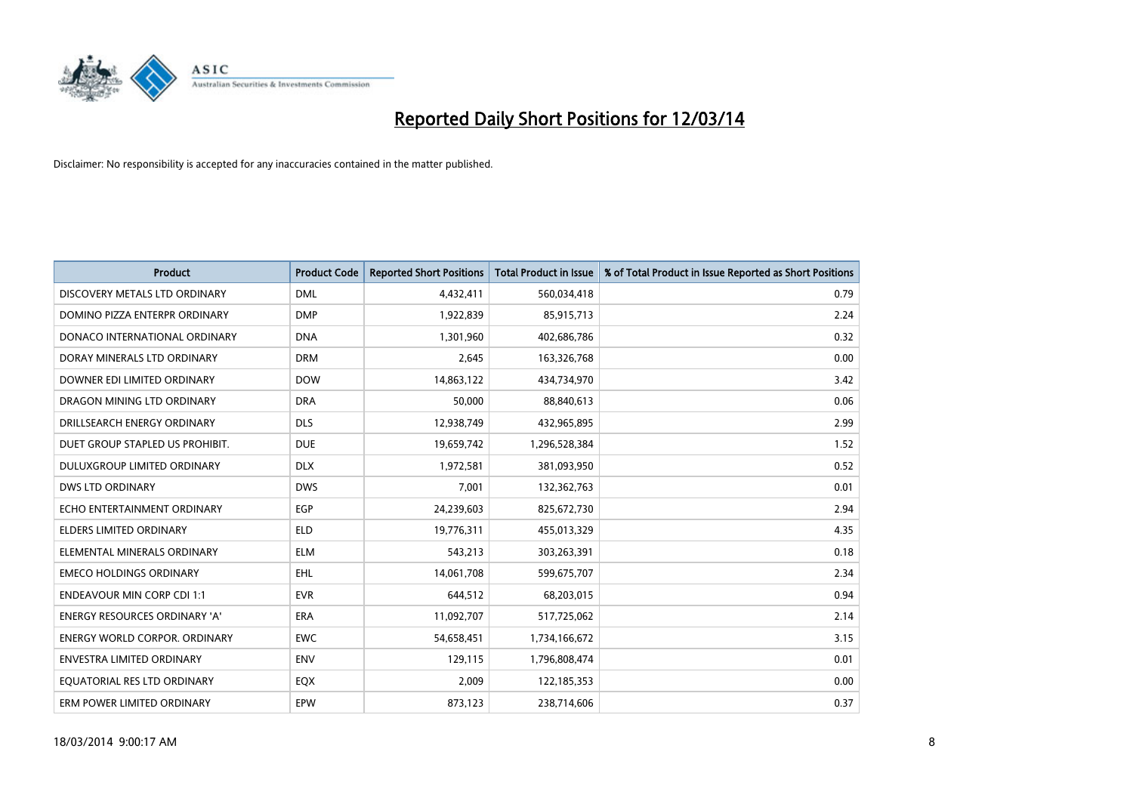

| <b>Product</b>                       | <b>Product Code</b> | <b>Reported Short Positions</b> | Total Product in Issue | % of Total Product in Issue Reported as Short Positions |
|--------------------------------------|---------------------|---------------------------------|------------------------|---------------------------------------------------------|
| DISCOVERY METALS LTD ORDINARY        | <b>DML</b>          | 4,432,411                       | 560,034,418            | 0.79                                                    |
| DOMINO PIZZA ENTERPR ORDINARY        | <b>DMP</b>          | 1,922,839                       | 85,915,713             | 2.24                                                    |
| DONACO INTERNATIONAL ORDINARY        | <b>DNA</b>          | 1,301,960                       | 402,686,786            | 0.32                                                    |
| DORAY MINERALS LTD ORDINARY          | <b>DRM</b>          | 2,645                           | 163,326,768            | 0.00                                                    |
| DOWNER EDI LIMITED ORDINARY          | <b>DOW</b>          | 14,863,122                      | 434,734,970            | 3.42                                                    |
| DRAGON MINING LTD ORDINARY           | <b>DRA</b>          | 50,000                          | 88,840,613             | 0.06                                                    |
| DRILLSEARCH ENERGY ORDINARY          | <b>DLS</b>          | 12,938,749                      | 432,965,895            | 2.99                                                    |
| DUET GROUP STAPLED US PROHIBIT.      | <b>DUE</b>          | 19,659,742                      | 1,296,528,384          | 1.52                                                    |
| DULUXGROUP LIMITED ORDINARY          | <b>DLX</b>          | 1,972,581                       | 381,093,950            | 0.52                                                    |
| <b>DWS LTD ORDINARY</b>              | <b>DWS</b>          | 7,001                           | 132,362,763            | 0.01                                                    |
| ECHO ENTERTAINMENT ORDINARY          | <b>EGP</b>          | 24,239,603                      | 825,672,730            | 2.94                                                    |
| <b>ELDERS LIMITED ORDINARY</b>       | <b>ELD</b>          | 19,776,311                      | 455,013,329            | 4.35                                                    |
| ELEMENTAL MINERALS ORDINARY          | <b>ELM</b>          | 543,213                         | 303,263,391            | 0.18                                                    |
| <b>EMECO HOLDINGS ORDINARY</b>       | <b>EHL</b>          | 14,061,708                      | 599,675,707            | 2.34                                                    |
| <b>ENDEAVOUR MIN CORP CDI 1:1</b>    | <b>EVR</b>          | 644,512                         | 68,203,015             | 0.94                                                    |
| <b>ENERGY RESOURCES ORDINARY 'A'</b> | <b>ERA</b>          | 11,092,707                      | 517,725,062            | 2.14                                                    |
| <b>ENERGY WORLD CORPOR. ORDINARY</b> | <b>EWC</b>          | 54,658,451                      | 1,734,166,672          | 3.15                                                    |
| <b>ENVESTRA LIMITED ORDINARY</b>     | <b>ENV</b>          | 129,115                         | 1,796,808,474          | 0.01                                                    |
| EOUATORIAL RES LTD ORDINARY          | EQX                 | 2.009                           | 122,185,353            | 0.00                                                    |
| ERM POWER LIMITED ORDINARY           | EPW                 | 873,123                         | 238,714,606            | 0.37                                                    |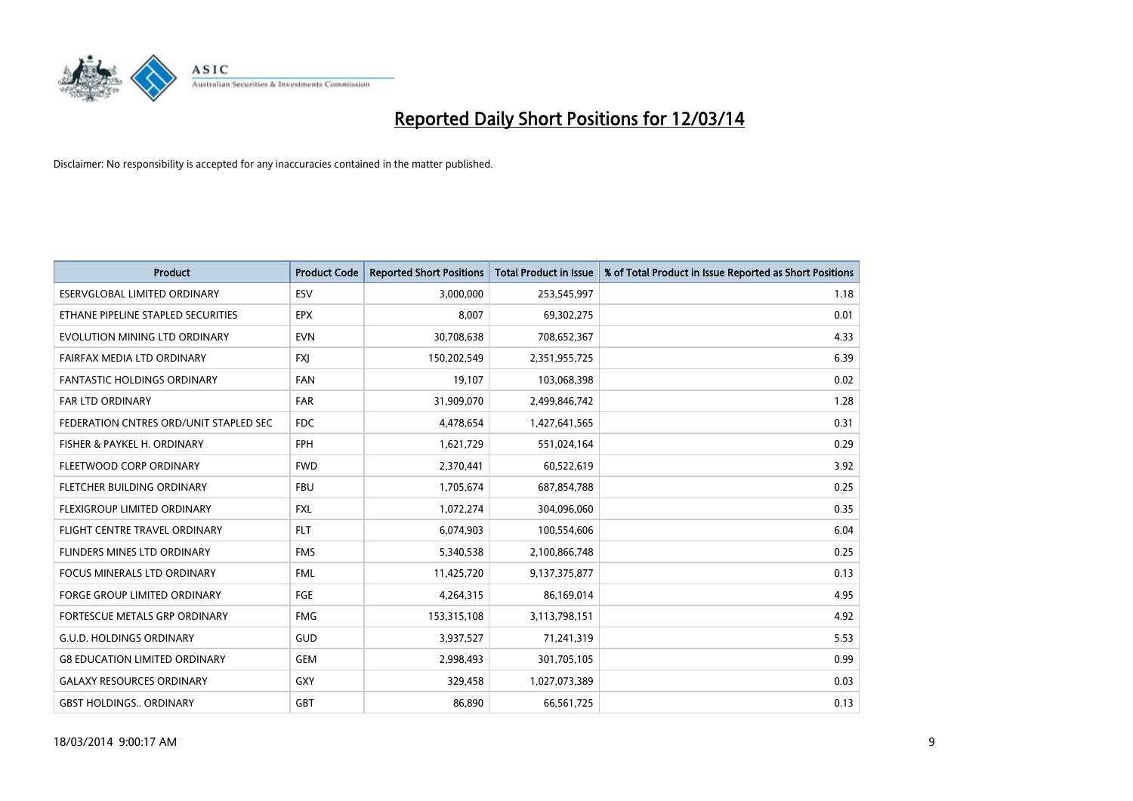

| <b>Product</b>                         | <b>Product Code</b> | <b>Reported Short Positions</b> | <b>Total Product in Issue</b> | % of Total Product in Issue Reported as Short Positions |
|----------------------------------------|---------------------|---------------------------------|-------------------------------|---------------------------------------------------------|
| ESERVGLOBAL LIMITED ORDINARY           | ESV                 | 3,000,000                       | 253,545,997                   | 1.18                                                    |
| ETHANE PIPELINE STAPLED SECURITIES     | <b>EPX</b>          | 8,007                           | 69,302,275                    | 0.01                                                    |
| EVOLUTION MINING LTD ORDINARY          | <b>EVN</b>          | 30,708,638                      | 708,652,367                   | 4.33                                                    |
| FAIRFAX MEDIA LTD ORDINARY             | <b>FXI</b>          | 150,202,549                     | 2,351,955,725                 | 6.39                                                    |
| <b>FANTASTIC HOLDINGS ORDINARY</b>     | <b>FAN</b>          | 19,107                          | 103,068,398                   | 0.02                                                    |
| FAR LTD ORDINARY                       | <b>FAR</b>          | 31,909,070                      | 2,499,846,742                 | 1.28                                                    |
| FEDERATION CNTRES ORD/UNIT STAPLED SEC | <b>FDC</b>          | 4,478,654                       | 1,427,641,565                 | 0.31                                                    |
| FISHER & PAYKEL H. ORDINARY            | <b>FPH</b>          | 1,621,729                       | 551,024,164                   | 0.29                                                    |
| FLEETWOOD CORP ORDINARY                | <b>FWD</b>          | 2,370,441                       | 60,522,619                    | 3.92                                                    |
| FLETCHER BUILDING ORDINARY             | <b>FBU</b>          | 1,705,674                       | 687,854,788                   | 0.25                                                    |
| FLEXIGROUP LIMITED ORDINARY            | <b>FXL</b>          | 1,072,274                       | 304,096,060                   | 0.35                                                    |
| FLIGHT CENTRE TRAVEL ORDINARY          | <b>FLT</b>          | 6,074,903                       | 100,554,606                   | 6.04                                                    |
| FLINDERS MINES LTD ORDINARY            | <b>FMS</b>          | 5,340,538                       | 2,100,866,748                 | 0.25                                                    |
| <b>FOCUS MINERALS LTD ORDINARY</b>     | <b>FML</b>          | 11,425,720                      | 9,137,375,877                 | 0.13                                                    |
| FORGE GROUP LIMITED ORDINARY           | FGE                 | 4,264,315                       | 86,169,014                    | 4.95                                                    |
| FORTESCUE METALS GRP ORDINARY          | <b>FMG</b>          | 153,315,108                     | 3,113,798,151                 | 4.92                                                    |
| <b>G.U.D. HOLDINGS ORDINARY</b>        | GUD                 | 3,937,527                       | 71,241,319                    | 5.53                                                    |
| <b>G8 EDUCATION LIMITED ORDINARY</b>   | GEM                 | 2,998,493                       | 301,705,105                   | 0.99                                                    |
| <b>GALAXY RESOURCES ORDINARY</b>       | <b>GXY</b>          | 329,458                         | 1,027,073,389                 | 0.03                                                    |
| <b>GBST HOLDINGS ORDINARY</b>          | <b>GBT</b>          | 86.890                          | 66,561,725                    | 0.13                                                    |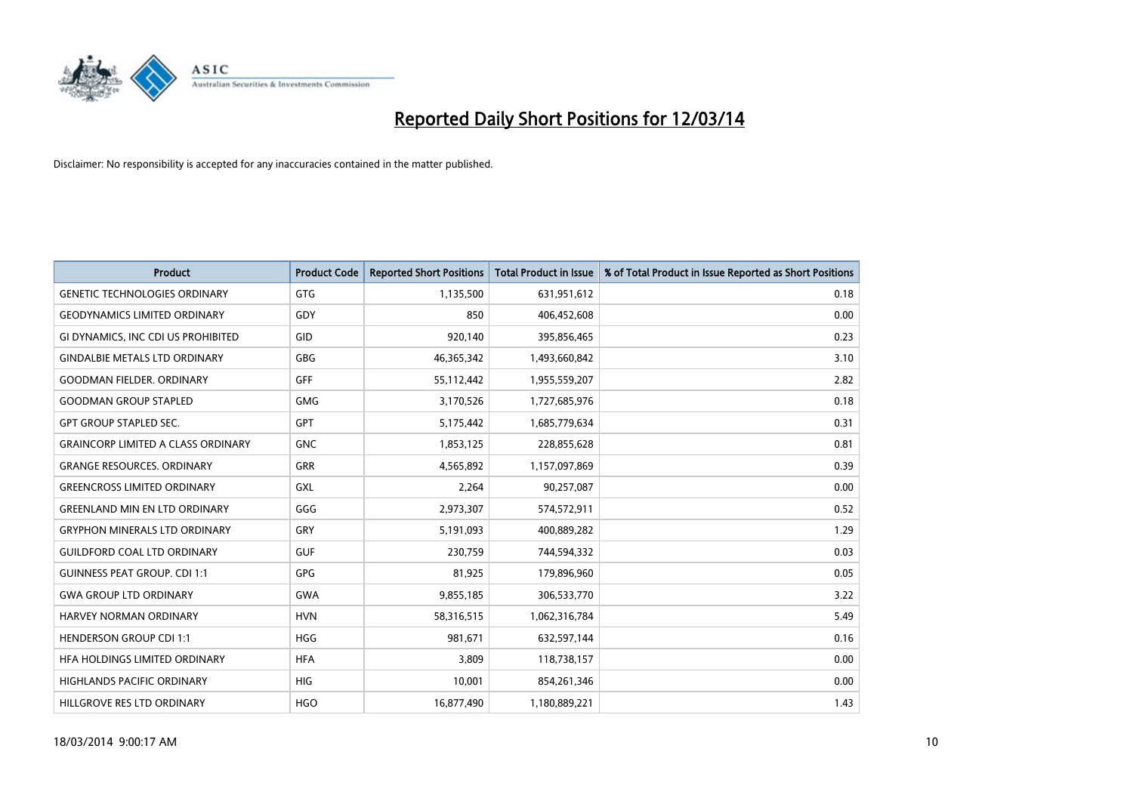

| <b>Product</b>                            | <b>Product Code</b> | <b>Reported Short Positions</b> | <b>Total Product in Issue</b> | % of Total Product in Issue Reported as Short Positions |
|-------------------------------------------|---------------------|---------------------------------|-------------------------------|---------------------------------------------------------|
| <b>GENETIC TECHNOLOGIES ORDINARY</b>      | <b>GTG</b>          | 1,135,500                       | 631,951,612                   | 0.18                                                    |
| <b>GEODYNAMICS LIMITED ORDINARY</b>       | GDY                 | 850                             | 406,452,608                   | 0.00                                                    |
| GI DYNAMICS, INC CDI US PROHIBITED        | GID                 | 920,140                         | 395,856,465                   | 0.23                                                    |
| <b>GINDALBIE METALS LTD ORDINARY</b>      | <b>GBG</b>          | 46,365,342                      | 1,493,660,842                 | 3.10                                                    |
| <b>GOODMAN FIELDER, ORDINARY</b>          | <b>GFF</b>          | 55,112,442                      | 1,955,559,207                 | 2.82                                                    |
| <b>GOODMAN GROUP STAPLED</b>              | <b>GMG</b>          | 3,170,526                       | 1,727,685,976                 | 0.18                                                    |
| <b>GPT GROUP STAPLED SEC.</b>             | <b>GPT</b>          | 5,175,442                       | 1,685,779,634                 | 0.31                                                    |
| <b>GRAINCORP LIMITED A CLASS ORDINARY</b> | <b>GNC</b>          | 1,853,125                       | 228,855,628                   | 0.81                                                    |
| <b>GRANGE RESOURCES. ORDINARY</b>         | <b>GRR</b>          | 4,565,892                       | 1,157,097,869                 | 0.39                                                    |
| <b>GREENCROSS LIMITED ORDINARY</b>        | GXL                 | 2,264                           | 90,257,087                    | 0.00                                                    |
| <b>GREENLAND MIN EN LTD ORDINARY</b>      | GGG                 | 2,973,307                       | 574,572,911                   | 0.52                                                    |
| <b>GRYPHON MINERALS LTD ORDINARY</b>      | GRY                 | 5,191,093                       | 400,889,282                   | 1.29                                                    |
| <b>GUILDFORD COAL LTD ORDINARY</b>        | <b>GUF</b>          | 230,759                         | 744,594,332                   | 0.03                                                    |
| <b>GUINNESS PEAT GROUP. CDI 1:1</b>       | <b>GPG</b>          | 81,925                          | 179,896,960                   | 0.05                                                    |
| <b>GWA GROUP LTD ORDINARY</b>             | <b>GWA</b>          | 9,855,185                       | 306,533,770                   | 3.22                                                    |
| HARVEY NORMAN ORDINARY                    | <b>HVN</b>          | 58,316,515                      | 1,062,316,784                 | 5.49                                                    |
| <b>HENDERSON GROUP CDI 1:1</b>            | <b>HGG</b>          | 981,671                         | 632,597,144                   | 0.16                                                    |
| HEA HOLDINGS LIMITED ORDINARY             | <b>HFA</b>          | 3,809                           | 118,738,157                   | 0.00                                                    |
| <b>HIGHLANDS PACIFIC ORDINARY</b>         | <b>HIG</b>          | 10,001                          | 854,261,346                   | 0.00                                                    |
| HILLGROVE RES LTD ORDINARY                | <b>HGO</b>          | 16,877,490                      | 1,180,889,221                 | 1.43                                                    |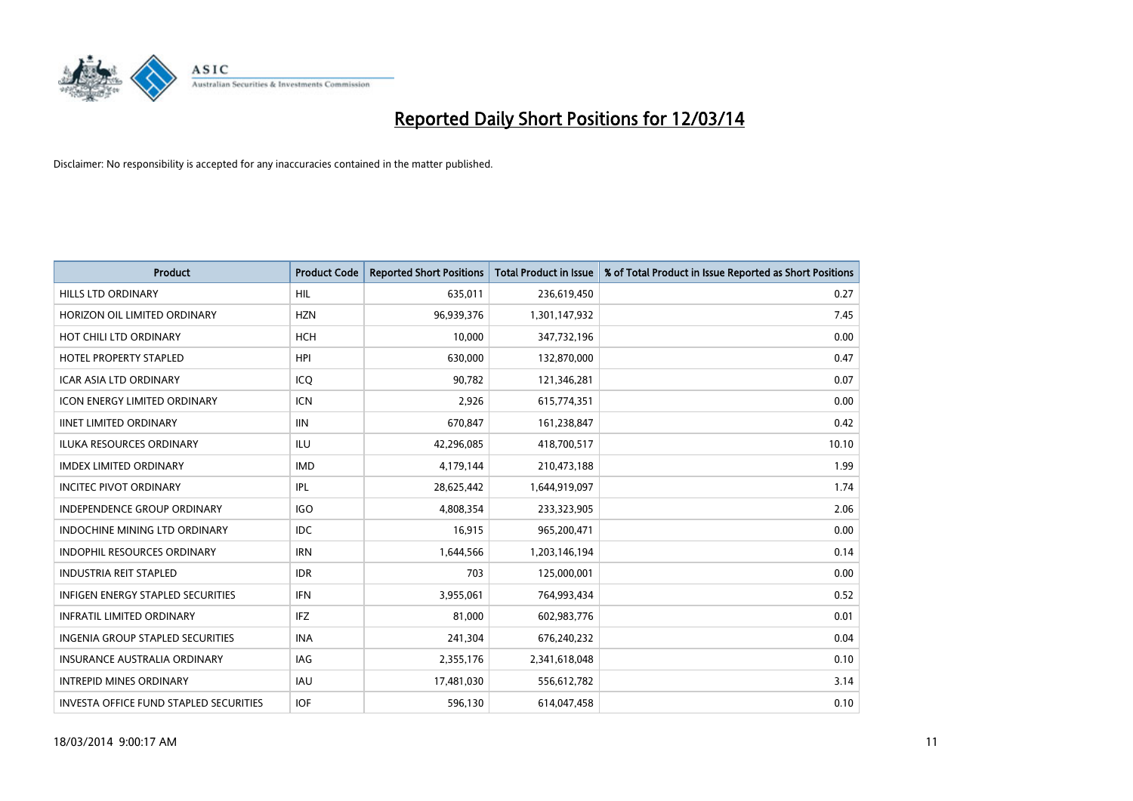

| <b>Product</b>                                | <b>Product Code</b> | <b>Reported Short Positions</b> | <b>Total Product in Issue</b> | % of Total Product in Issue Reported as Short Positions |
|-----------------------------------------------|---------------------|---------------------------------|-------------------------------|---------------------------------------------------------|
| <b>HILLS LTD ORDINARY</b>                     | <b>HIL</b>          | 635,011                         | 236,619,450                   | 0.27                                                    |
| HORIZON OIL LIMITED ORDINARY                  | <b>HZN</b>          | 96,939,376                      | 1,301,147,932                 | 7.45                                                    |
| HOT CHILI LTD ORDINARY                        | <b>HCH</b>          | 10,000                          | 347,732,196                   | 0.00                                                    |
| HOTEL PROPERTY STAPLED                        | <b>HPI</b>          | 630,000                         | 132,870,000                   | 0.47                                                    |
| <b>ICAR ASIA LTD ORDINARY</b>                 | ICO                 | 90.782                          | 121,346,281                   | 0.07                                                    |
| <b>ICON ENERGY LIMITED ORDINARY</b>           | <b>ICN</b>          | 2,926                           | 615,774,351                   | 0.00                                                    |
| <b>IINET LIMITED ORDINARY</b>                 | <b>IIN</b>          | 670.847                         | 161,238,847                   | 0.42                                                    |
| <b>ILUKA RESOURCES ORDINARY</b>               | ILU                 | 42,296,085                      | 418,700,517                   | 10.10                                                   |
| <b>IMDEX LIMITED ORDINARY</b>                 | <b>IMD</b>          | 4,179,144                       | 210,473,188                   | 1.99                                                    |
| <b>INCITEC PIVOT ORDINARY</b>                 | IPL                 | 28,625,442                      | 1,644,919,097                 | 1.74                                                    |
| <b>INDEPENDENCE GROUP ORDINARY</b>            | <b>IGO</b>          | 4,808,354                       | 233,323,905                   | 2.06                                                    |
| <b>INDOCHINE MINING LTD ORDINARY</b>          | <b>IDC</b>          | 16,915                          | 965,200,471                   | 0.00                                                    |
| <b>INDOPHIL RESOURCES ORDINARY</b>            | <b>IRN</b>          | 1,644,566                       | 1,203,146,194                 | 0.14                                                    |
| <b>INDUSTRIA REIT STAPLED</b>                 | <b>IDR</b>          | 703                             | 125,000,001                   | 0.00                                                    |
| <b>INFIGEN ENERGY STAPLED SECURITIES</b>      | <b>IFN</b>          | 3,955,061                       | 764,993,434                   | 0.52                                                    |
| <b>INFRATIL LIMITED ORDINARY</b>              | <b>IFZ</b>          | 81,000                          | 602,983,776                   | 0.01                                                    |
| <b>INGENIA GROUP STAPLED SECURITIES</b>       | <b>INA</b>          | 241,304                         | 676,240,232                   | 0.04                                                    |
| INSURANCE AUSTRALIA ORDINARY                  | IAG                 | 2,355,176                       | 2,341,618,048                 | 0.10                                                    |
| <b>INTREPID MINES ORDINARY</b>                | <b>IAU</b>          | 17,481,030                      | 556,612,782                   | 3.14                                                    |
| <b>INVESTA OFFICE FUND STAPLED SECURITIES</b> | <b>IOF</b>          | 596,130                         | 614,047,458                   | 0.10                                                    |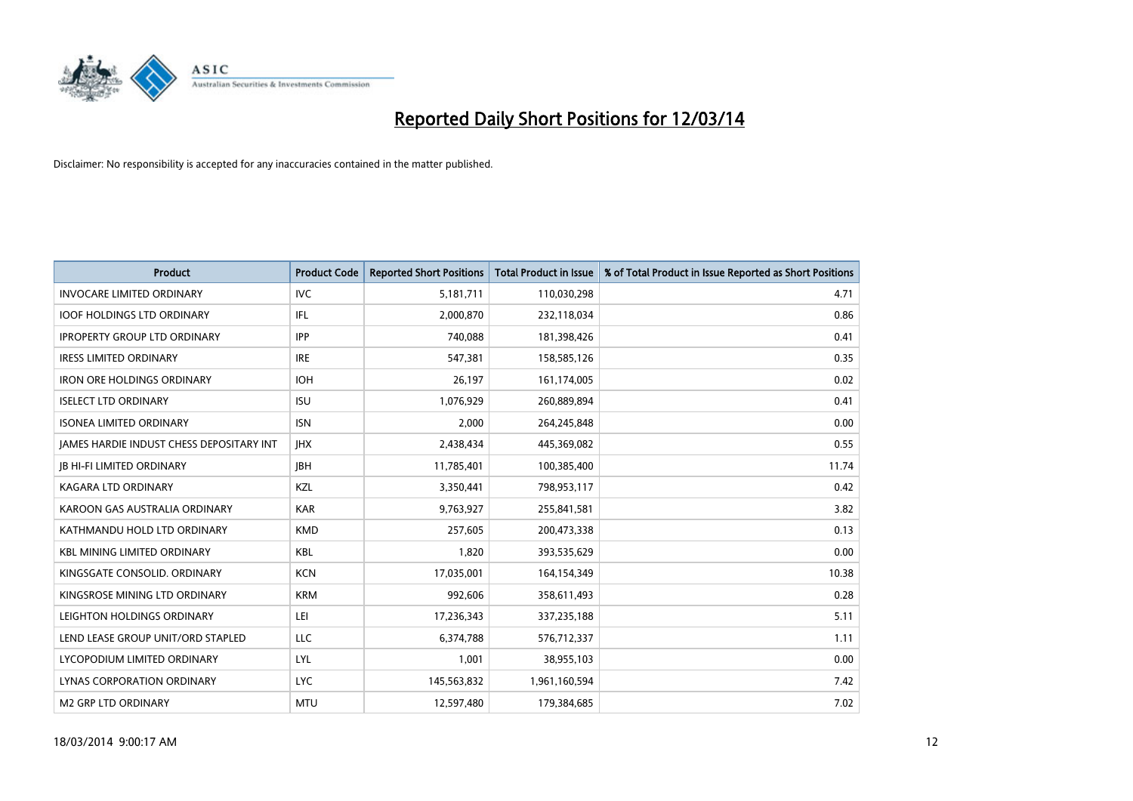

| <b>Product</b>                                  | <b>Product Code</b> | <b>Reported Short Positions</b> | <b>Total Product in Issue</b> | % of Total Product in Issue Reported as Short Positions |
|-------------------------------------------------|---------------------|---------------------------------|-------------------------------|---------------------------------------------------------|
| <b>INVOCARE LIMITED ORDINARY</b>                | IVC                 | 5,181,711                       | 110,030,298                   | 4.71                                                    |
| <b>IOOF HOLDINGS LTD ORDINARY</b>               | IFL                 | 2,000,870                       | 232,118,034                   | 0.86                                                    |
| <b>IPROPERTY GROUP LTD ORDINARY</b>             | <b>IPP</b>          | 740,088                         | 181,398,426                   | 0.41                                                    |
| <b>IRESS LIMITED ORDINARY</b>                   | <b>IRE</b>          | 547,381                         | 158,585,126                   | 0.35                                                    |
| <b>IRON ORE HOLDINGS ORDINARY</b>               | <b>IOH</b>          | 26,197                          | 161,174,005                   | 0.02                                                    |
| <b>ISELECT LTD ORDINARY</b>                     | <b>ISU</b>          | 1,076,929                       | 260,889,894                   | 0.41                                                    |
| <b>ISONEA LIMITED ORDINARY</b>                  | <b>ISN</b>          | 2,000                           | 264,245,848                   | 0.00                                                    |
| <b>IAMES HARDIE INDUST CHESS DEPOSITARY INT</b> | <b>IHX</b>          | 2,438,434                       | 445,369,082                   | 0.55                                                    |
| <b>IB HI-FI LIMITED ORDINARY</b>                | <b>IBH</b>          | 11,785,401                      | 100,385,400                   | 11.74                                                   |
| <b>KAGARA LTD ORDINARY</b>                      | KZL                 | 3,350,441                       | 798,953,117                   | 0.42                                                    |
| KAROON GAS AUSTRALIA ORDINARY                   | <b>KAR</b>          | 9,763,927                       | 255,841,581                   | 3.82                                                    |
| KATHMANDU HOLD LTD ORDINARY                     | <b>KMD</b>          | 257,605                         | 200,473,338                   | 0.13                                                    |
| <b>KBL MINING LIMITED ORDINARY</b>              | <b>KBL</b>          | 1,820                           | 393,535,629                   | 0.00                                                    |
| KINGSGATE CONSOLID. ORDINARY                    | <b>KCN</b>          | 17,035,001                      | 164,154,349                   | 10.38                                                   |
| KINGSROSE MINING LTD ORDINARY                   | <b>KRM</b>          | 992,606                         | 358,611,493                   | 0.28                                                    |
| LEIGHTON HOLDINGS ORDINARY                      | LEI                 | 17,236,343                      | 337,235,188                   | 5.11                                                    |
| LEND LEASE GROUP UNIT/ORD STAPLED               | LLC                 | 6,374,788                       | 576,712,337                   | 1.11                                                    |
| LYCOPODIUM LIMITED ORDINARY                     | <b>LYL</b>          | 1,001                           | 38,955,103                    | 0.00                                                    |
| <b>LYNAS CORPORATION ORDINARY</b>               | <b>LYC</b>          | 145,563,832                     | 1,961,160,594                 | 7.42                                                    |
| M2 GRP LTD ORDINARY                             | <b>MTU</b>          | 12,597,480                      | 179,384,685                   | 7.02                                                    |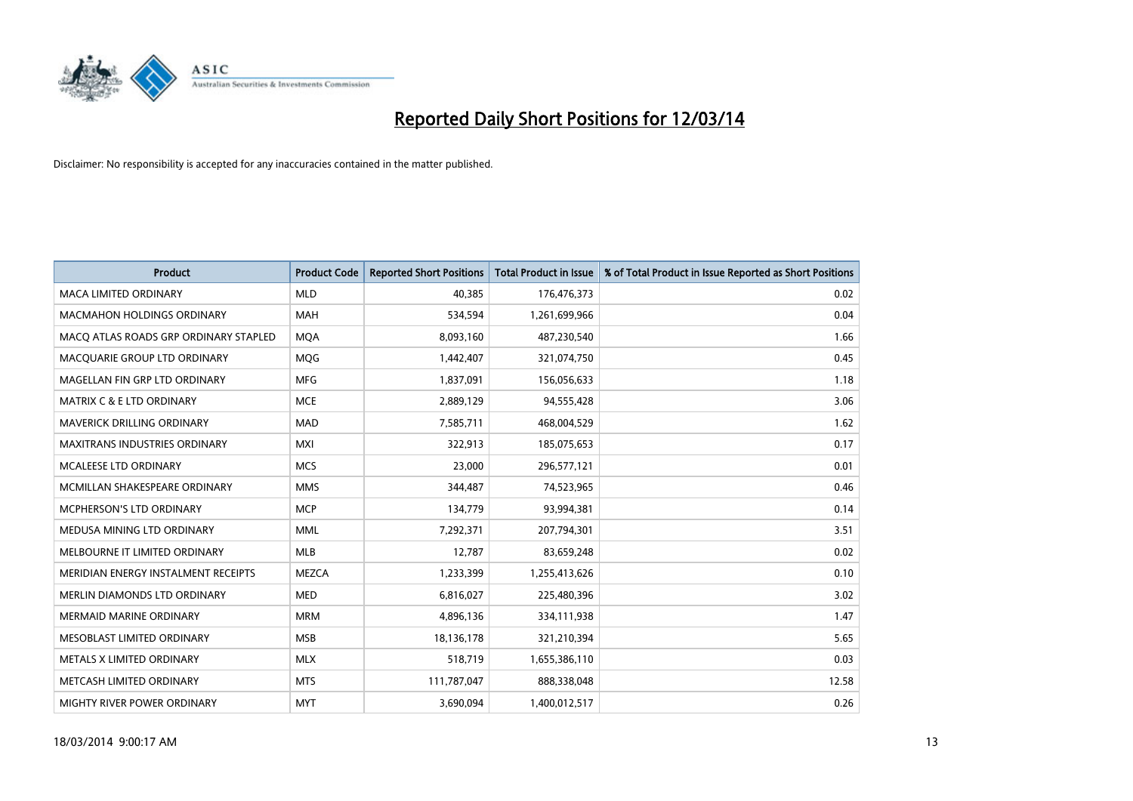

| <b>Product</b>                        | <b>Product Code</b> | <b>Reported Short Positions</b> | <b>Total Product in Issue</b> | % of Total Product in Issue Reported as Short Positions |
|---------------------------------------|---------------------|---------------------------------|-------------------------------|---------------------------------------------------------|
| <b>MACA LIMITED ORDINARY</b>          | <b>MLD</b>          | 40.385                          | 176,476,373                   | 0.02                                                    |
| MACMAHON HOLDINGS ORDINARY            | <b>MAH</b>          | 534,594                         | 1,261,699,966                 | 0.04                                                    |
| MACO ATLAS ROADS GRP ORDINARY STAPLED | <b>MOA</b>          | 8,093,160                       | 487,230,540                   | 1.66                                                    |
| MACQUARIE GROUP LTD ORDINARY          | MQG                 | 1,442,407                       | 321,074,750                   | 0.45                                                    |
| MAGELLAN FIN GRP LTD ORDINARY         | <b>MFG</b>          | 1,837,091                       | 156,056,633                   | 1.18                                                    |
| <b>MATRIX C &amp; E LTD ORDINARY</b>  | <b>MCE</b>          | 2,889,129                       | 94,555,428                    | 3.06                                                    |
| MAVERICK DRILLING ORDINARY            | <b>MAD</b>          | 7,585,711                       | 468,004,529                   | 1.62                                                    |
| <b>MAXITRANS INDUSTRIES ORDINARY</b>  | <b>MXI</b>          | 322,913                         | 185,075,653                   | 0.17                                                    |
| <b>MCALEESE LTD ORDINARY</b>          | <b>MCS</b>          | 23,000                          | 296,577,121                   | 0.01                                                    |
| MCMILLAN SHAKESPEARE ORDINARY         | <b>MMS</b>          | 344,487                         | 74,523,965                    | 0.46                                                    |
| MCPHERSON'S LTD ORDINARY              | <b>MCP</b>          | 134,779                         | 93,994,381                    | 0.14                                                    |
| MEDUSA MINING LTD ORDINARY            | <b>MML</b>          | 7,292,371                       | 207,794,301                   | 3.51                                                    |
| MELBOURNE IT LIMITED ORDINARY         | <b>MLB</b>          | 12,787                          | 83,659,248                    | 0.02                                                    |
| MERIDIAN ENERGY INSTALMENT RECEIPTS   | <b>MEZCA</b>        | 1,233,399                       | 1,255,413,626                 | 0.10                                                    |
| MERLIN DIAMONDS LTD ORDINARY          | <b>MED</b>          | 6,816,027                       | 225,480,396                   | 3.02                                                    |
| <b>MERMAID MARINE ORDINARY</b>        | <b>MRM</b>          | 4,896,136                       | 334,111,938                   | 1.47                                                    |
| MESOBLAST LIMITED ORDINARY            | <b>MSB</b>          | 18,136,178                      | 321,210,394                   | 5.65                                                    |
| METALS X LIMITED ORDINARY             | <b>MLX</b>          | 518,719                         | 1,655,386,110                 | 0.03                                                    |
| METCASH LIMITED ORDINARY              | <b>MTS</b>          | 111,787,047                     | 888,338,048                   | 12.58                                                   |
| MIGHTY RIVER POWER ORDINARY           | <b>MYT</b>          | 3,690,094                       | 1,400,012,517                 | 0.26                                                    |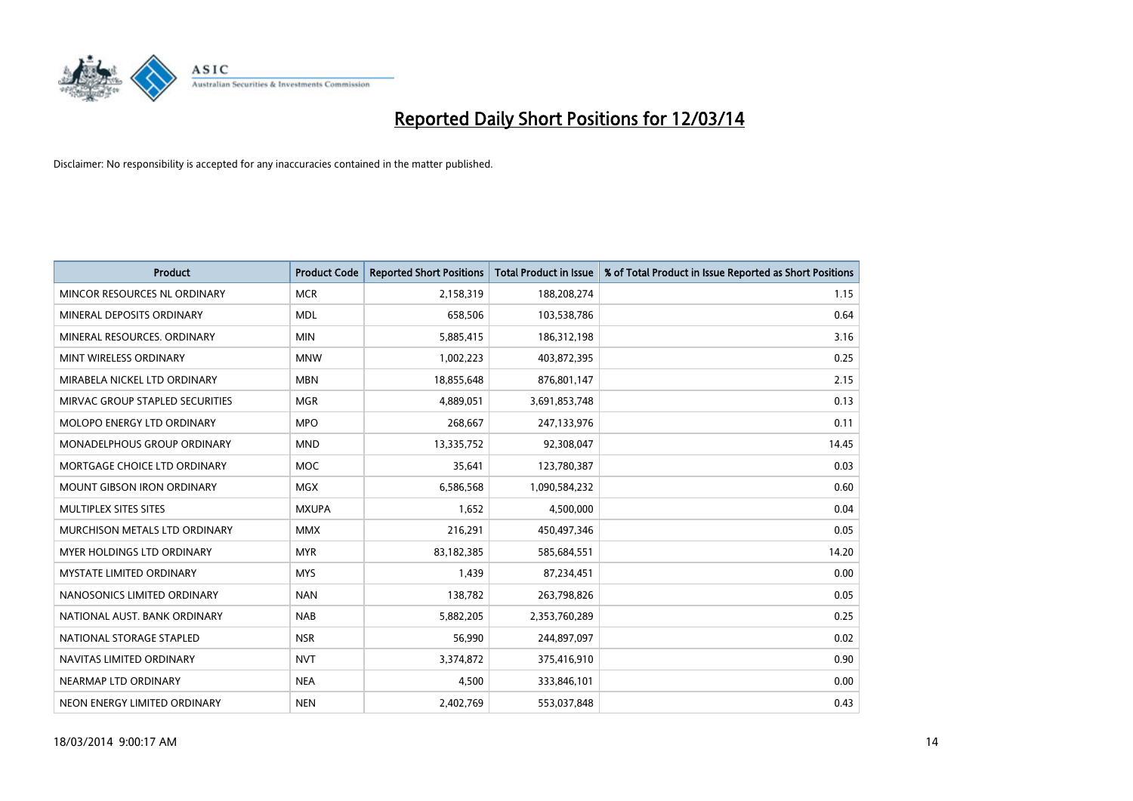

| <b>Product</b>                     | <b>Product Code</b> | <b>Reported Short Positions</b> | <b>Total Product in Issue</b> | % of Total Product in Issue Reported as Short Positions |
|------------------------------------|---------------------|---------------------------------|-------------------------------|---------------------------------------------------------|
| MINCOR RESOURCES NL ORDINARY       | <b>MCR</b>          | 2,158,319                       | 188,208,274                   | 1.15                                                    |
| MINERAL DEPOSITS ORDINARY          | <b>MDL</b>          | 658,506                         | 103,538,786                   | 0.64                                                    |
| MINERAL RESOURCES, ORDINARY        | <b>MIN</b>          | 5,885,415                       | 186,312,198                   | 3.16                                                    |
| MINT WIRELESS ORDINARY             | <b>MNW</b>          | 1,002,223                       | 403,872,395                   | 0.25                                                    |
| MIRABELA NICKEL LTD ORDINARY       | <b>MBN</b>          | 18,855,648                      | 876,801,147                   | 2.15                                                    |
| MIRVAC GROUP STAPLED SECURITIES    | <b>MGR</b>          | 4,889,051                       | 3,691,853,748                 | 0.13                                                    |
| MOLOPO ENERGY LTD ORDINARY         | <b>MPO</b>          | 268,667                         | 247,133,976                   | 0.11                                                    |
| <b>MONADELPHOUS GROUP ORDINARY</b> | <b>MND</b>          | 13,335,752                      | 92,308,047                    | 14.45                                                   |
| MORTGAGE CHOICE LTD ORDINARY       | <b>MOC</b>          | 35,641                          | 123,780,387                   | 0.03                                                    |
| <b>MOUNT GIBSON IRON ORDINARY</b>  | <b>MGX</b>          | 6,586,568                       | 1,090,584,232                 | 0.60                                                    |
| MULTIPLEX SITES SITES              | <b>MXUPA</b>        | 1,652                           | 4,500,000                     | 0.04                                                    |
| MURCHISON METALS LTD ORDINARY      | <b>MMX</b>          | 216,291                         | 450,497,346                   | 0.05                                                    |
| <b>MYER HOLDINGS LTD ORDINARY</b>  | <b>MYR</b>          | 83,182,385                      | 585,684,551                   | 14.20                                                   |
| <b>MYSTATE LIMITED ORDINARY</b>    | <b>MYS</b>          | 1,439                           | 87,234,451                    | 0.00                                                    |
| NANOSONICS LIMITED ORDINARY        | <b>NAN</b>          | 138,782                         | 263,798,826                   | 0.05                                                    |
| NATIONAL AUST. BANK ORDINARY       | <b>NAB</b>          | 5,882,205                       | 2,353,760,289                 | 0.25                                                    |
| NATIONAL STORAGE STAPLED           | <b>NSR</b>          | 56,990                          | 244,897,097                   | 0.02                                                    |
| NAVITAS LIMITED ORDINARY           | <b>NVT</b>          | 3,374,872                       | 375,416,910                   | 0.90                                                    |
| NEARMAP LTD ORDINARY               | <b>NEA</b>          | 4,500                           | 333,846,101                   | 0.00                                                    |
| NEON ENERGY LIMITED ORDINARY       | <b>NEN</b>          | 2,402,769                       | 553,037,848                   | 0.43                                                    |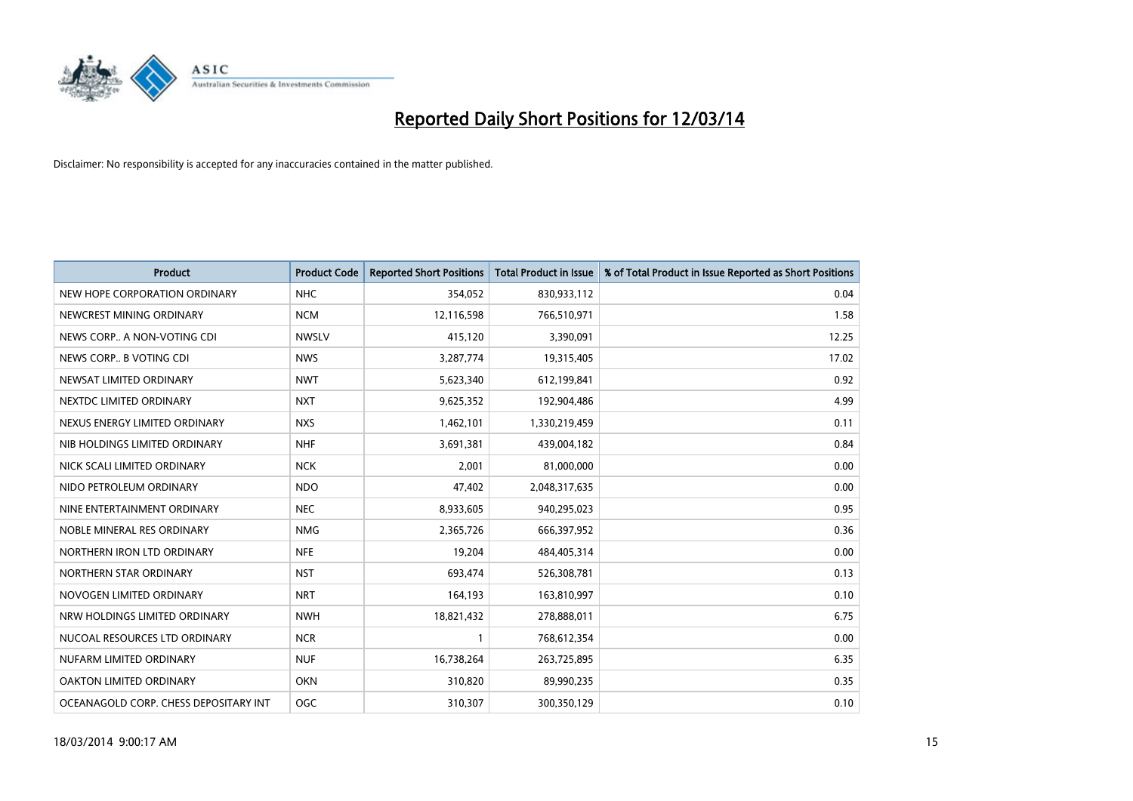

| <b>Product</b>                        | <b>Product Code</b> | <b>Reported Short Positions</b> | Total Product in Issue | % of Total Product in Issue Reported as Short Positions |
|---------------------------------------|---------------------|---------------------------------|------------------------|---------------------------------------------------------|
| NEW HOPE CORPORATION ORDINARY         | <b>NHC</b>          | 354,052                         | 830,933,112            | 0.04                                                    |
| NEWCREST MINING ORDINARY              | <b>NCM</b>          | 12,116,598                      | 766,510,971            | 1.58                                                    |
| NEWS CORP A NON-VOTING CDI            | <b>NWSLV</b>        | 415,120                         | 3,390,091              | 12.25                                                   |
| NEWS CORP B VOTING CDI                | <b>NWS</b>          | 3,287,774                       | 19,315,405             | 17.02                                                   |
| NEWSAT LIMITED ORDINARY               | <b>NWT</b>          | 5,623,340                       | 612,199,841            | 0.92                                                    |
| NEXTDC LIMITED ORDINARY               | <b>NXT</b>          | 9,625,352                       | 192,904,486            | 4.99                                                    |
| NEXUS ENERGY LIMITED ORDINARY         | <b>NXS</b>          | 1,462,101                       | 1,330,219,459          | 0.11                                                    |
| NIB HOLDINGS LIMITED ORDINARY         | <b>NHF</b>          | 3,691,381                       | 439,004,182            | 0.84                                                    |
| NICK SCALI LIMITED ORDINARY           | <b>NCK</b>          | 2,001                           | 81,000,000             | 0.00                                                    |
| NIDO PETROLEUM ORDINARY               | <b>NDO</b>          | 47,402                          | 2,048,317,635          | 0.00                                                    |
| NINE ENTERTAINMENT ORDINARY           | <b>NEC</b>          | 8,933,605                       | 940,295,023            | 0.95                                                    |
| NOBLE MINERAL RES ORDINARY            | <b>NMG</b>          | 2,365,726                       | 666,397,952            | 0.36                                                    |
| NORTHERN IRON LTD ORDINARY            | <b>NFE</b>          | 19,204                          | 484,405,314            | 0.00                                                    |
| NORTHERN STAR ORDINARY                | <b>NST</b>          | 693,474                         | 526,308,781            | 0.13                                                    |
| NOVOGEN LIMITED ORDINARY              | <b>NRT</b>          | 164,193                         | 163,810,997            | 0.10                                                    |
| NRW HOLDINGS LIMITED ORDINARY         | <b>NWH</b>          | 18,821,432                      | 278,888,011            | 6.75                                                    |
| NUCOAL RESOURCES LTD ORDINARY         | <b>NCR</b>          |                                 | 768,612,354            | 0.00                                                    |
| NUFARM LIMITED ORDINARY               | <b>NUF</b>          | 16,738,264                      | 263,725,895            | 6.35                                                    |
| OAKTON LIMITED ORDINARY               | <b>OKN</b>          | 310,820                         | 89,990,235             | 0.35                                                    |
| OCEANAGOLD CORP. CHESS DEPOSITARY INT | <b>OGC</b>          | 310.307                         | 300,350,129            | 0.10                                                    |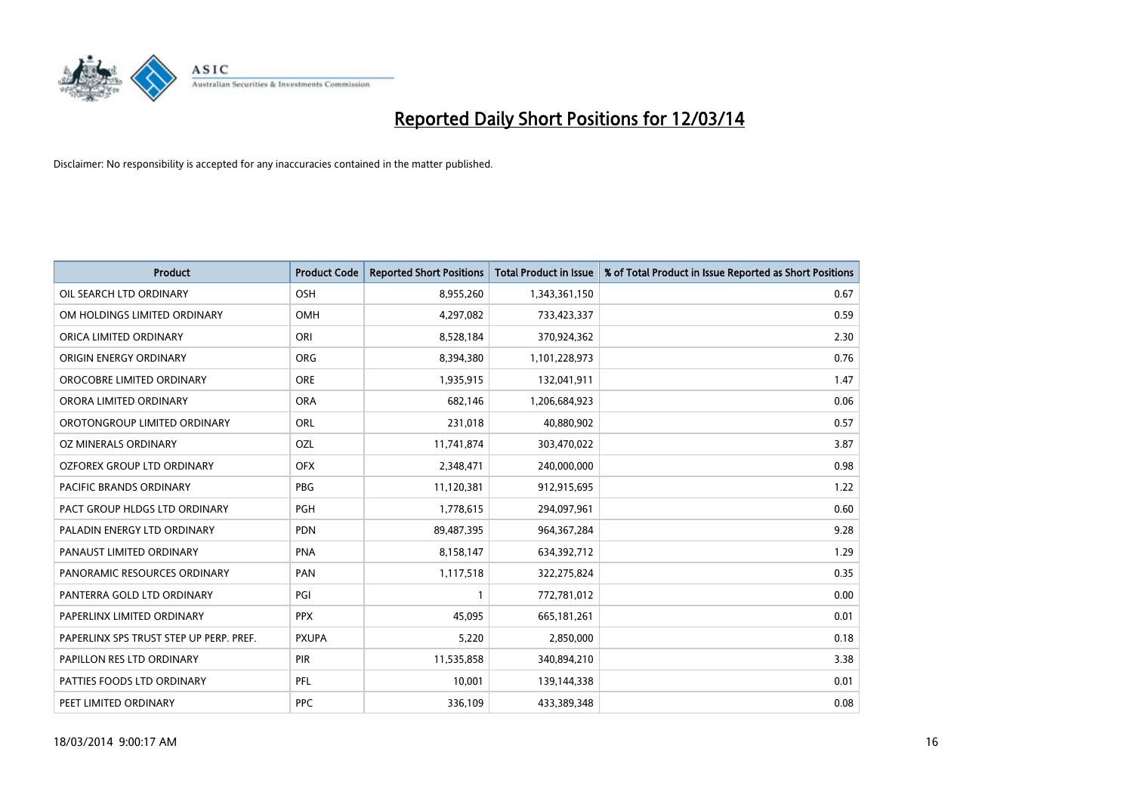

| <b>Product</b>                          | <b>Product Code</b> | <b>Reported Short Positions</b> | <b>Total Product in Issue</b> | % of Total Product in Issue Reported as Short Positions |
|-----------------------------------------|---------------------|---------------------------------|-------------------------------|---------------------------------------------------------|
| OIL SEARCH LTD ORDINARY                 | OSH                 | 8,955,260                       | 1,343,361,150                 | 0.67                                                    |
| OM HOLDINGS LIMITED ORDINARY            | OMH                 | 4,297,082                       | 733,423,337                   | 0.59                                                    |
| ORICA LIMITED ORDINARY                  | ORI                 | 8,528,184                       | 370,924,362                   | 2.30                                                    |
| ORIGIN ENERGY ORDINARY                  | <b>ORG</b>          | 8,394,380                       | 1,101,228,973                 | 0.76                                                    |
| OROCOBRE LIMITED ORDINARY               | <b>ORE</b>          | 1,935,915                       | 132,041,911                   | 1.47                                                    |
| ORORA LIMITED ORDINARY                  | <b>ORA</b>          | 682,146                         | 1,206,684,923                 | 0.06                                                    |
| OROTONGROUP LIMITED ORDINARY            | <b>ORL</b>          | 231,018                         | 40,880,902                    | 0.57                                                    |
| OZ MINERALS ORDINARY                    | OZL                 | 11,741,874                      | 303,470,022                   | 3.87                                                    |
| OZFOREX GROUP LTD ORDINARY              | <b>OFX</b>          | 2,348,471                       | 240,000,000                   | 0.98                                                    |
| <b>PACIFIC BRANDS ORDINARY</b>          | <b>PBG</b>          | 11,120,381                      | 912,915,695                   | 1.22                                                    |
| PACT GROUP HLDGS LTD ORDINARY           | PGH                 | 1,778,615                       | 294,097,961                   | 0.60                                                    |
| PALADIN ENERGY LTD ORDINARY             | <b>PDN</b>          | 89,487,395                      | 964, 367, 284                 | 9.28                                                    |
| PANAUST LIMITED ORDINARY                | <b>PNA</b>          | 8,158,147                       | 634,392,712                   | 1.29                                                    |
| PANORAMIC RESOURCES ORDINARY            | PAN                 | 1,117,518                       | 322,275,824                   | 0.35                                                    |
| PANTERRA GOLD LTD ORDINARY              | PGI                 | 1                               | 772,781,012                   | 0.00                                                    |
| PAPERLINX LIMITED ORDINARY              | <b>PPX</b>          | 45.095                          | 665,181,261                   | 0.01                                                    |
| PAPERLINX SPS TRUST STEP UP PERP. PREF. | <b>PXUPA</b>        | 5,220                           | 2,850,000                     | 0.18                                                    |
| PAPILLON RES LTD ORDINARY               | <b>PIR</b>          | 11,535,858                      | 340,894,210                   | 3.38                                                    |
| PATTIES FOODS LTD ORDINARY              | PFL                 | 10,001                          | 139,144,338                   | 0.01                                                    |
| PEET LIMITED ORDINARY                   | <b>PPC</b>          | 336,109                         | 433,389,348                   | 0.08                                                    |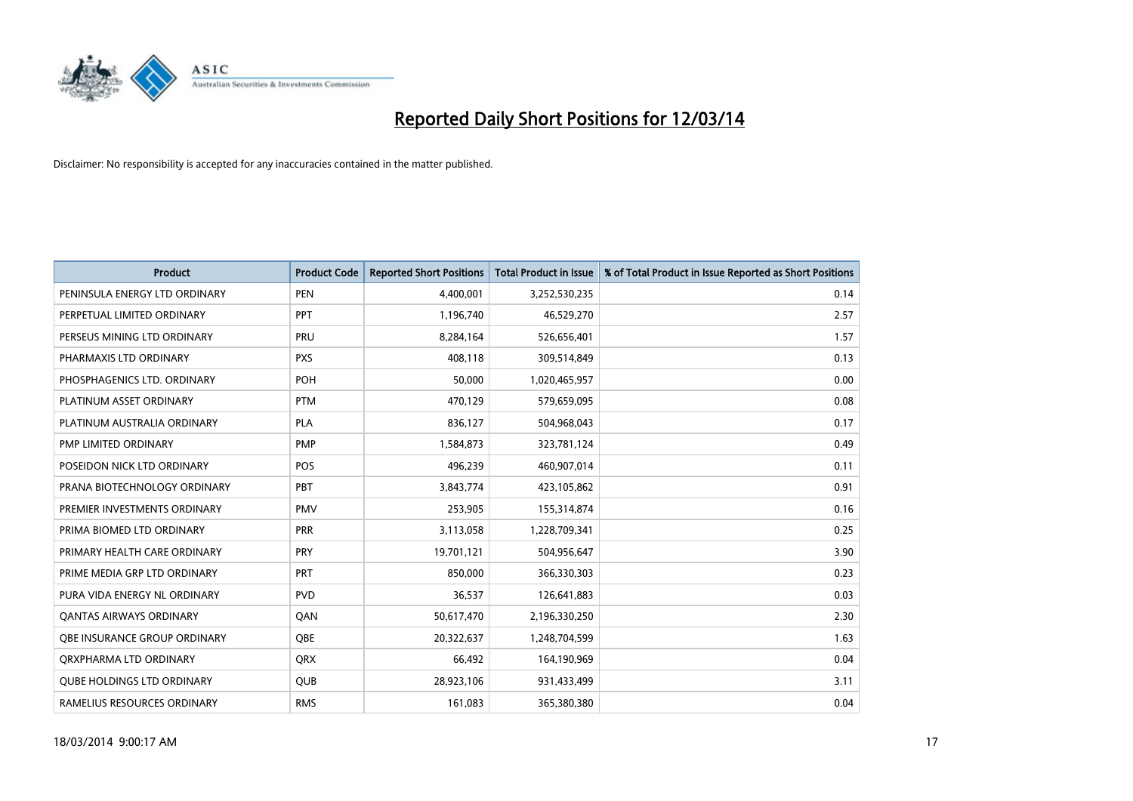

| <b>Product</b>                      | <b>Product Code</b> | <b>Reported Short Positions</b> | <b>Total Product in Issue</b> | % of Total Product in Issue Reported as Short Positions |
|-------------------------------------|---------------------|---------------------------------|-------------------------------|---------------------------------------------------------|
| PENINSULA ENERGY LTD ORDINARY       | <b>PEN</b>          | 4,400,001                       | 3,252,530,235                 | 0.14                                                    |
| PERPETUAL LIMITED ORDINARY          | <b>PPT</b>          | 1,196,740                       | 46,529,270                    | 2.57                                                    |
| PERSEUS MINING LTD ORDINARY         | PRU                 | 8,284,164                       | 526,656,401                   | 1.57                                                    |
| PHARMAXIS LTD ORDINARY              | <b>PXS</b>          | 408,118                         | 309,514,849                   | 0.13                                                    |
| PHOSPHAGENICS LTD. ORDINARY         | <b>POH</b>          | 50,000                          | 1,020,465,957                 | 0.00                                                    |
| PLATINUM ASSET ORDINARY             | <b>PTM</b>          | 470,129                         | 579,659,095                   | 0.08                                                    |
| PLATINUM AUSTRALIA ORDINARY         | <b>PLA</b>          | 836,127                         | 504,968,043                   | 0.17                                                    |
| PMP LIMITED ORDINARY                | <b>PMP</b>          | 1,584,873                       | 323,781,124                   | 0.49                                                    |
| POSEIDON NICK LTD ORDINARY          | POS                 | 496,239                         | 460,907,014                   | 0.11                                                    |
| PRANA BIOTECHNOLOGY ORDINARY        | PBT                 | 3,843,774                       | 423,105,862                   | 0.91                                                    |
| PREMIER INVESTMENTS ORDINARY        | <b>PMV</b>          | 253,905                         | 155,314,874                   | 0.16                                                    |
| PRIMA BIOMED LTD ORDINARY           | PRR                 | 3,113,058                       | 1,228,709,341                 | 0.25                                                    |
| PRIMARY HEALTH CARE ORDINARY        | <b>PRY</b>          | 19,701,121                      | 504,956,647                   | 3.90                                                    |
| PRIME MEDIA GRP LTD ORDINARY        | <b>PRT</b>          | 850,000                         | 366,330,303                   | 0.23                                                    |
| PURA VIDA ENERGY NL ORDINARY        | <b>PVD</b>          | 36,537                          | 126,641,883                   | 0.03                                                    |
| <b>QANTAS AIRWAYS ORDINARY</b>      | QAN                 | 50,617,470                      | 2,196,330,250                 | 2.30                                                    |
| <b>OBE INSURANCE GROUP ORDINARY</b> | <b>OBE</b>          | 20,322,637                      | 1,248,704,599                 | 1.63                                                    |
| ORXPHARMA LTD ORDINARY              | <b>QRX</b>          | 66,492                          | 164,190,969                   | 0.04                                                    |
| <b>QUBE HOLDINGS LTD ORDINARY</b>   | <b>QUB</b>          | 28,923,106                      | 931,433,499                   | 3.11                                                    |
| RAMELIUS RESOURCES ORDINARY         | <b>RMS</b>          | 161,083                         | 365,380,380                   | 0.04                                                    |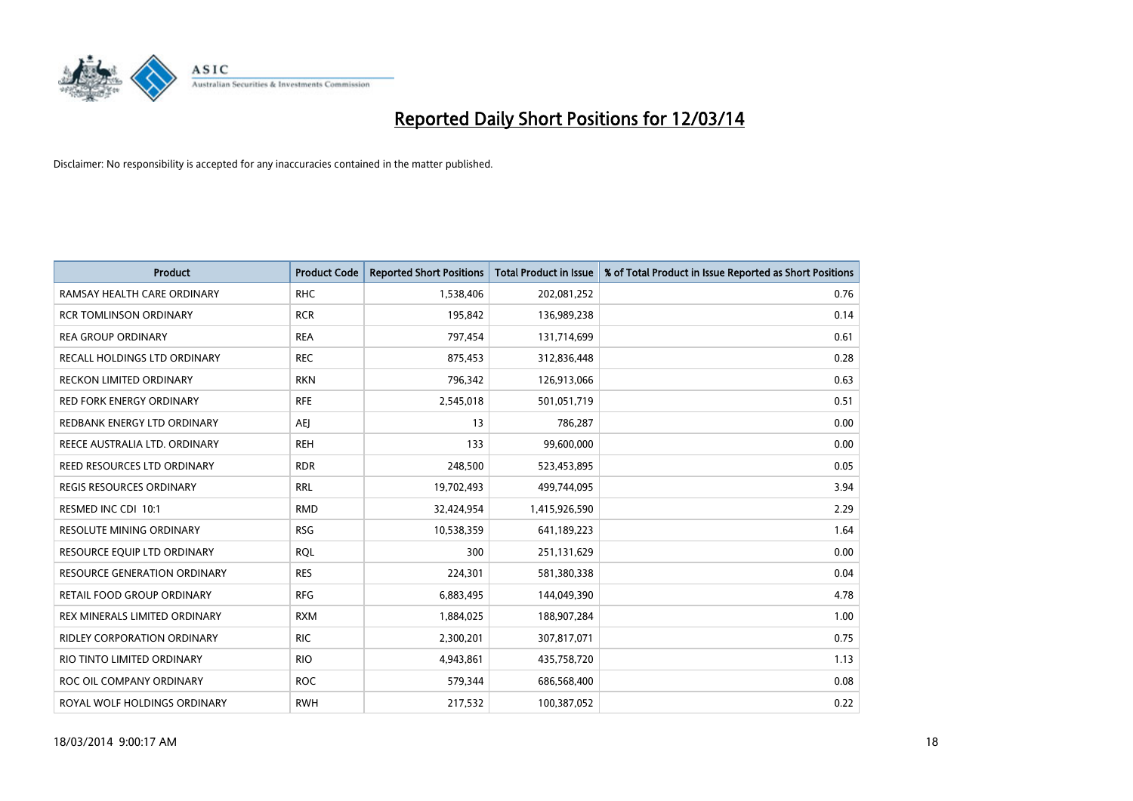

| <b>Product</b>                      | <b>Product Code</b> | <b>Reported Short Positions</b> | <b>Total Product in Issue</b> | % of Total Product in Issue Reported as Short Positions |
|-------------------------------------|---------------------|---------------------------------|-------------------------------|---------------------------------------------------------|
| RAMSAY HEALTH CARE ORDINARY         | <b>RHC</b>          | 1,538,406                       | 202,081,252                   | 0.76                                                    |
| <b>RCR TOMLINSON ORDINARY</b>       | <b>RCR</b>          | 195,842                         | 136,989,238                   | 0.14                                                    |
| <b>REA GROUP ORDINARY</b>           | <b>REA</b>          | 797,454                         | 131,714,699                   | 0.61                                                    |
| RECALL HOLDINGS LTD ORDINARY        | <b>REC</b>          | 875,453                         | 312,836,448                   | 0.28                                                    |
| RECKON LIMITED ORDINARY             | <b>RKN</b>          | 796,342                         | 126,913,066                   | 0.63                                                    |
| <b>RED FORK ENERGY ORDINARY</b>     | <b>RFE</b>          | 2,545,018                       | 501,051,719                   | 0.51                                                    |
| REDBANK ENERGY LTD ORDINARY         | AEJ                 | 13                              | 786,287                       | 0.00                                                    |
| REECE AUSTRALIA LTD. ORDINARY       | <b>REH</b>          | 133                             | 99,600,000                    | 0.00                                                    |
| REED RESOURCES LTD ORDINARY         | <b>RDR</b>          | 248,500                         | 523,453,895                   | 0.05                                                    |
| <b>REGIS RESOURCES ORDINARY</b>     | <b>RRL</b>          | 19,702,493                      | 499,744,095                   | 3.94                                                    |
| RESMED INC CDI 10:1                 | <b>RMD</b>          | 32,424,954                      | 1,415,926,590                 | 2.29                                                    |
| <b>RESOLUTE MINING ORDINARY</b>     | <b>RSG</b>          | 10,538,359                      | 641,189,223                   | 1.64                                                    |
| RESOURCE EQUIP LTD ORDINARY         | <b>RQL</b>          | 300                             | 251,131,629                   | 0.00                                                    |
| <b>RESOURCE GENERATION ORDINARY</b> | <b>RES</b>          | 224,301                         | 581,380,338                   | 0.04                                                    |
| RETAIL FOOD GROUP ORDINARY          | <b>RFG</b>          | 6,883,495                       | 144,049,390                   | 4.78                                                    |
| REX MINERALS LIMITED ORDINARY       | <b>RXM</b>          | 1,884,025                       | 188,907,284                   | 1.00                                                    |
| <b>RIDLEY CORPORATION ORDINARY</b>  | <b>RIC</b>          | 2,300,201                       | 307,817,071                   | 0.75                                                    |
| RIO TINTO LIMITED ORDINARY          | <b>RIO</b>          | 4,943,861                       | 435,758,720                   | 1.13                                                    |
| ROC OIL COMPANY ORDINARY            | <b>ROC</b>          | 579,344                         | 686,568,400                   | 0.08                                                    |
| ROYAL WOLF HOLDINGS ORDINARY        | <b>RWH</b>          | 217,532                         | 100,387,052                   | 0.22                                                    |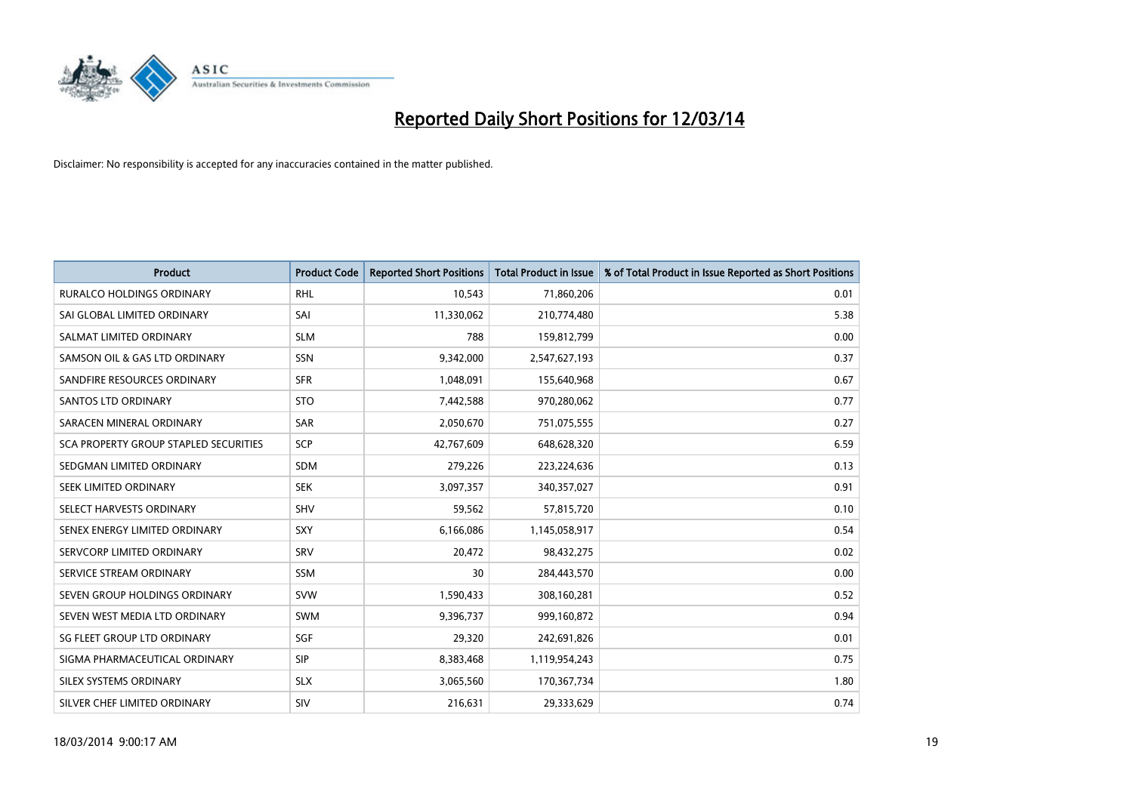

| <b>Product</b>                               | <b>Product Code</b> | <b>Reported Short Positions</b> | <b>Total Product in Issue</b> | % of Total Product in Issue Reported as Short Positions |
|----------------------------------------------|---------------------|---------------------------------|-------------------------------|---------------------------------------------------------|
| <b>RURALCO HOLDINGS ORDINARY</b>             | <b>RHL</b>          | 10,543                          | 71,860,206                    | 0.01                                                    |
| SAI GLOBAL LIMITED ORDINARY                  | SAI                 | 11,330,062                      | 210,774,480                   | 5.38                                                    |
| SALMAT LIMITED ORDINARY                      | <b>SLM</b>          | 788                             | 159,812,799                   | 0.00                                                    |
| SAMSON OIL & GAS LTD ORDINARY                | SSN                 | 9,342,000                       | 2,547,627,193                 | 0.37                                                    |
| SANDFIRE RESOURCES ORDINARY                  | <b>SFR</b>          | 1,048,091                       | 155,640,968                   | 0.67                                                    |
| <b>SANTOS LTD ORDINARY</b>                   | <b>STO</b>          | 7,442,588                       | 970,280,062                   | 0.77                                                    |
| SARACEN MINERAL ORDINARY                     | <b>SAR</b>          | 2,050,670                       | 751,075,555                   | 0.27                                                    |
| <b>SCA PROPERTY GROUP STAPLED SECURITIES</b> | SCP                 | 42,767,609                      | 648,628,320                   | 6.59                                                    |
| SEDGMAN LIMITED ORDINARY                     | <b>SDM</b>          | 279,226                         | 223,224,636                   | 0.13                                                    |
| SEEK LIMITED ORDINARY                        | <b>SEK</b>          | 3,097,357                       | 340,357,027                   | 0.91                                                    |
| SELECT HARVESTS ORDINARY                     | <b>SHV</b>          | 59,562                          | 57,815,720                    | 0.10                                                    |
| SENEX ENERGY LIMITED ORDINARY                | <b>SXY</b>          | 6,166,086                       | 1,145,058,917                 | 0.54                                                    |
| SERVCORP LIMITED ORDINARY                    | SRV                 | 20,472                          | 98,432,275                    | 0.02                                                    |
| SERVICE STREAM ORDINARY                      | SSM                 | 30                              | 284,443,570                   | 0.00                                                    |
| SEVEN GROUP HOLDINGS ORDINARY                | <b>SVW</b>          | 1,590,433                       | 308,160,281                   | 0.52                                                    |
| SEVEN WEST MEDIA LTD ORDINARY                | <b>SWM</b>          | 9,396,737                       | 999,160,872                   | 0.94                                                    |
| SG FLEET GROUP LTD ORDINARY                  | <b>SGF</b>          | 29,320                          | 242,691,826                   | 0.01                                                    |
| SIGMA PHARMACEUTICAL ORDINARY                | <b>SIP</b>          | 8,383,468                       | 1,119,954,243                 | 0.75                                                    |
| SILEX SYSTEMS ORDINARY                       | <b>SLX</b>          | 3,065,560                       | 170,367,734                   | 1.80                                                    |
| SILVER CHEF LIMITED ORDINARY                 | SIV                 | 216,631                         | 29,333,629                    | 0.74                                                    |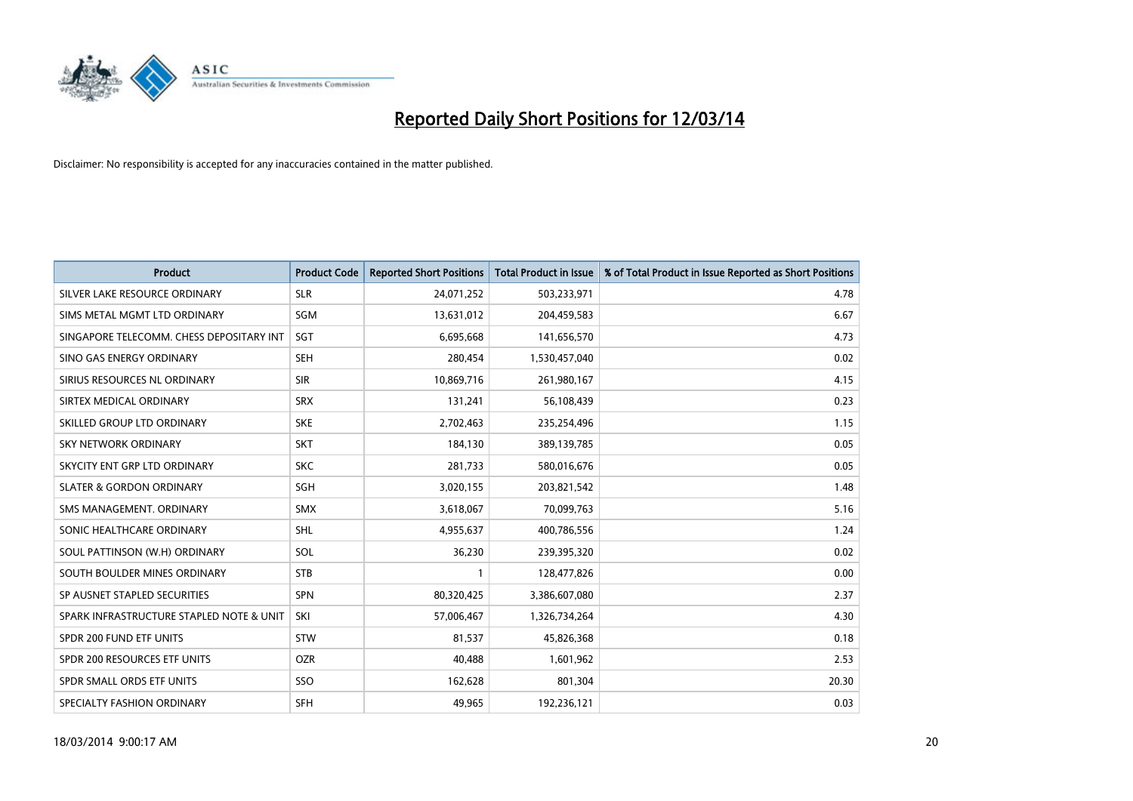

| <b>Product</b>                           | <b>Product Code</b> | <b>Reported Short Positions</b> | <b>Total Product in Issue</b> | % of Total Product in Issue Reported as Short Positions |
|------------------------------------------|---------------------|---------------------------------|-------------------------------|---------------------------------------------------------|
| SILVER LAKE RESOURCE ORDINARY            | <b>SLR</b>          | 24,071,252                      | 503,233,971                   | 4.78                                                    |
| SIMS METAL MGMT LTD ORDINARY             | <b>SGM</b>          | 13,631,012                      | 204,459,583                   | 6.67                                                    |
| SINGAPORE TELECOMM. CHESS DEPOSITARY INT | <b>SGT</b>          | 6,695,668                       | 141,656,570                   | 4.73                                                    |
| SINO GAS ENERGY ORDINARY                 | <b>SEH</b>          | 280,454                         | 1,530,457,040                 | 0.02                                                    |
| SIRIUS RESOURCES NL ORDINARY             | <b>SIR</b>          | 10,869,716                      | 261,980,167                   | 4.15                                                    |
| SIRTEX MEDICAL ORDINARY                  | <b>SRX</b>          | 131,241                         | 56,108,439                    | 0.23                                                    |
| SKILLED GROUP LTD ORDINARY               | <b>SKE</b>          | 2,702,463                       | 235,254,496                   | 1.15                                                    |
| SKY NETWORK ORDINARY                     | <b>SKT</b>          | 184,130                         | 389,139,785                   | 0.05                                                    |
| SKYCITY ENT GRP LTD ORDINARY             | <b>SKC</b>          | 281,733                         | 580,016,676                   | 0.05                                                    |
| <b>SLATER &amp; GORDON ORDINARY</b>      | <b>SGH</b>          | 3,020,155                       | 203,821,542                   | 1.48                                                    |
| SMS MANAGEMENT. ORDINARY                 | <b>SMX</b>          | 3,618,067                       | 70,099,763                    | 5.16                                                    |
| SONIC HEALTHCARE ORDINARY                | <b>SHL</b>          | 4,955,637                       | 400,786,556                   | 1.24                                                    |
| SOUL PATTINSON (W.H) ORDINARY            | SOL                 | 36,230                          | 239,395,320                   | 0.02                                                    |
| SOUTH BOULDER MINES ORDINARY             | <b>STB</b>          |                                 | 128,477,826                   | 0.00                                                    |
| SP AUSNET STAPLED SECURITIES             | <b>SPN</b>          | 80,320,425                      | 3,386,607,080                 | 2.37                                                    |
| SPARK INFRASTRUCTURE STAPLED NOTE & UNIT | SKI                 | 57,006,467                      | 1,326,734,264                 | 4.30                                                    |
| SPDR 200 FUND ETF UNITS                  | <b>STW</b>          | 81,537                          | 45,826,368                    | 0.18                                                    |
| SPDR 200 RESOURCES ETF UNITS             | <b>OZR</b>          | 40,488                          | 1,601,962                     | 2.53                                                    |
| SPDR SMALL ORDS ETF UNITS                | SSO                 | 162,628                         | 801,304                       | 20.30                                                   |
| SPECIALTY FASHION ORDINARY               | <b>SFH</b>          | 49,965                          | 192,236,121                   | 0.03                                                    |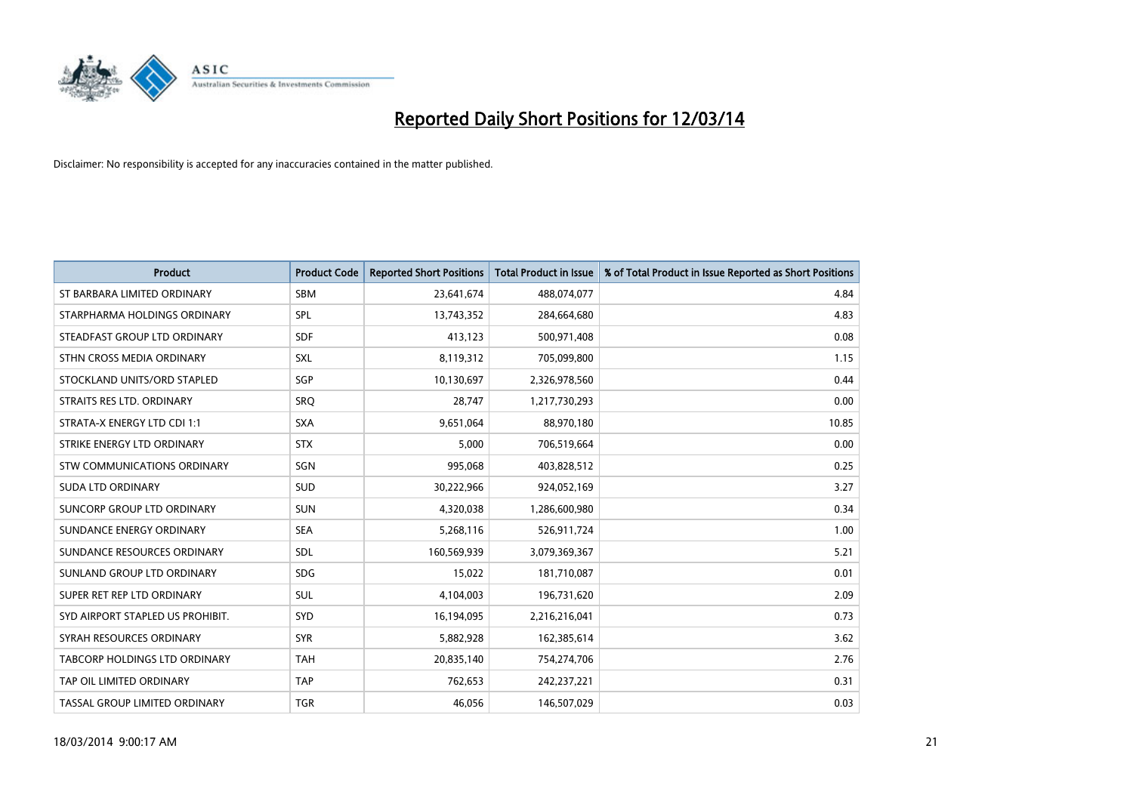

| <b>Product</b>                   | <b>Product Code</b> | <b>Reported Short Positions</b> | <b>Total Product in Issue</b> | % of Total Product in Issue Reported as Short Positions |
|----------------------------------|---------------------|---------------------------------|-------------------------------|---------------------------------------------------------|
| ST BARBARA LIMITED ORDINARY      | <b>SBM</b>          | 23,641,674                      | 488,074,077                   | 4.84                                                    |
| STARPHARMA HOLDINGS ORDINARY     | SPL                 | 13,743,352                      | 284,664,680                   | 4.83                                                    |
| STEADFAST GROUP LTD ORDINARY     | <b>SDF</b>          | 413,123                         | 500,971,408                   | 0.08                                                    |
| STHN CROSS MEDIA ORDINARY        | SXL                 | 8,119,312                       | 705,099,800                   | 1.15                                                    |
| STOCKLAND UNITS/ORD STAPLED      | SGP                 | 10,130,697                      | 2,326,978,560                 | 0.44                                                    |
| STRAITS RES LTD. ORDINARY        | SRQ                 | 28,747                          | 1,217,730,293                 | 0.00                                                    |
| STRATA-X ENERGY LTD CDI 1:1      | <b>SXA</b>          | 9.651.064                       | 88,970,180                    | 10.85                                                   |
| STRIKE ENERGY LTD ORDINARY       | <b>STX</b>          | 5,000                           | 706,519,664                   | 0.00                                                    |
| STW COMMUNICATIONS ORDINARY      | SGN                 | 995,068                         | 403,828,512                   | 0.25                                                    |
| <b>SUDA LTD ORDINARY</b>         | <b>SUD</b>          | 30,222,966                      | 924,052,169                   | 3.27                                                    |
| SUNCORP GROUP LTD ORDINARY       | <b>SUN</b>          | 4,320,038                       | 1,286,600,980                 | 0.34                                                    |
| SUNDANCE ENERGY ORDINARY         | <b>SEA</b>          | 5,268,116                       | 526,911,724                   | 1.00                                                    |
| SUNDANCE RESOURCES ORDINARY      | <b>SDL</b>          | 160,569,939                     | 3,079,369,367                 | 5.21                                                    |
| SUNLAND GROUP LTD ORDINARY       | <b>SDG</b>          | 15,022                          | 181,710,087                   | 0.01                                                    |
| SUPER RET REP LTD ORDINARY       | <b>SUL</b>          | 4,104,003                       | 196,731,620                   | 2.09                                                    |
| SYD AIRPORT STAPLED US PROHIBIT. | <b>SYD</b>          | 16,194,095                      | 2,216,216,041                 | 0.73                                                    |
| SYRAH RESOURCES ORDINARY         | <b>SYR</b>          | 5,882,928                       | 162,385,614                   | 3.62                                                    |
| TABCORP HOLDINGS LTD ORDINARY    | <b>TAH</b>          | 20,835,140                      | 754,274,706                   | 2.76                                                    |
| TAP OIL LIMITED ORDINARY         | <b>TAP</b>          | 762,653                         | 242,237,221                   | 0.31                                                    |
| TASSAL GROUP LIMITED ORDINARY    | <b>TGR</b>          | 46.056                          | 146,507,029                   | 0.03                                                    |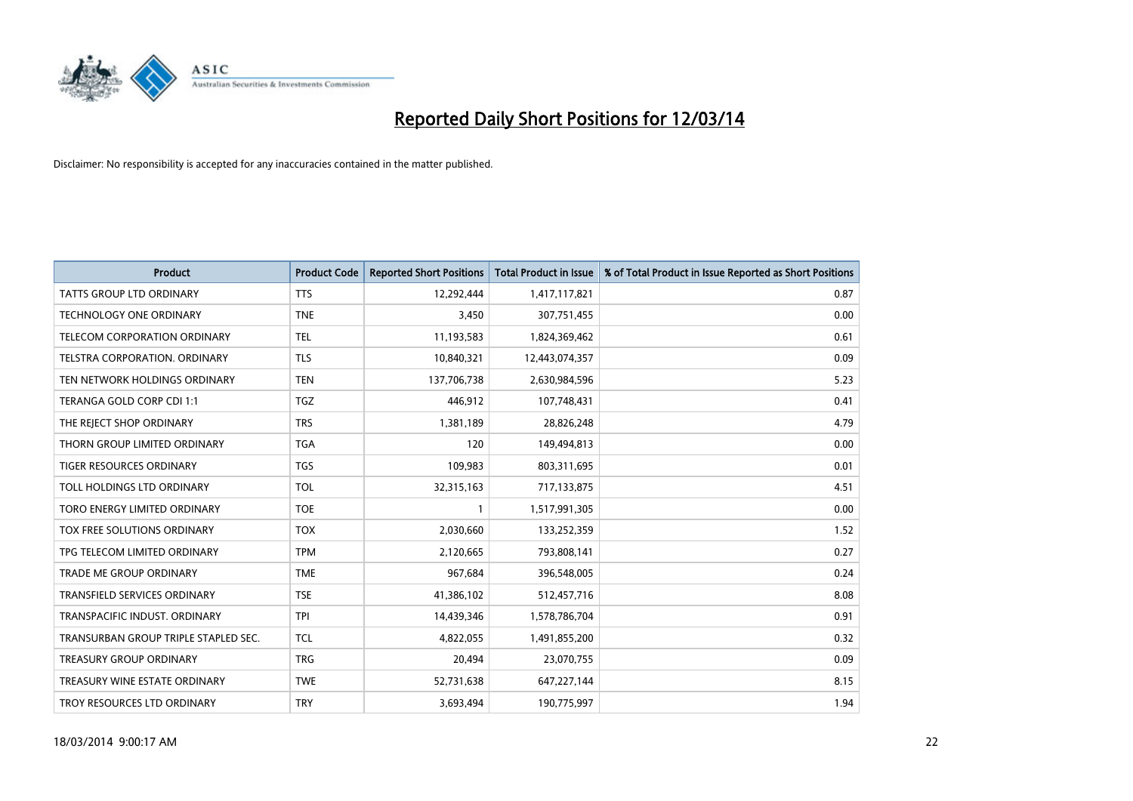

| <b>Product</b>                       | <b>Product Code</b> | <b>Reported Short Positions</b> | <b>Total Product in Issue</b> | % of Total Product in Issue Reported as Short Positions |
|--------------------------------------|---------------------|---------------------------------|-------------------------------|---------------------------------------------------------|
| <b>TATTS GROUP LTD ORDINARY</b>      | <b>TTS</b>          | 12,292,444                      | 1,417,117,821                 | 0.87                                                    |
| TECHNOLOGY ONE ORDINARY              | <b>TNE</b>          | 3,450                           | 307,751,455                   | 0.00                                                    |
| <b>TELECOM CORPORATION ORDINARY</b>  | <b>TEL</b>          | 11,193,583                      | 1,824,369,462                 | 0.61                                                    |
| TELSTRA CORPORATION. ORDINARY        | <b>TLS</b>          | 10,840,321                      | 12,443,074,357                | 0.09                                                    |
| TEN NETWORK HOLDINGS ORDINARY        | <b>TEN</b>          | 137,706,738                     | 2,630,984,596                 | 5.23                                                    |
| TERANGA GOLD CORP CDI 1:1            | <b>TGZ</b>          | 446,912                         | 107,748,431                   | 0.41                                                    |
| THE REJECT SHOP ORDINARY             | <b>TRS</b>          | 1,381,189                       | 28,826,248                    | 4.79                                                    |
| THORN GROUP LIMITED ORDINARY         | <b>TGA</b>          | 120                             | 149,494,813                   | 0.00                                                    |
| TIGER RESOURCES ORDINARY             | <b>TGS</b>          | 109,983                         | 803,311,695                   | 0.01                                                    |
| TOLL HOLDINGS LTD ORDINARY           | <b>TOL</b>          | 32,315,163                      | 717,133,875                   | 4.51                                                    |
| TORO ENERGY LIMITED ORDINARY         | <b>TOE</b>          |                                 | 1,517,991,305                 | 0.00                                                    |
| TOX FREE SOLUTIONS ORDINARY          | <b>TOX</b>          | 2,030,660                       | 133,252,359                   | 1.52                                                    |
| TPG TELECOM LIMITED ORDINARY         | <b>TPM</b>          | 2,120,665                       | 793,808,141                   | 0.27                                                    |
| <b>TRADE ME GROUP ORDINARY</b>       | <b>TME</b>          | 967,684                         | 396,548,005                   | 0.24                                                    |
| <b>TRANSFIELD SERVICES ORDINARY</b>  | <b>TSE</b>          | 41,386,102                      | 512,457,716                   | 8.08                                                    |
| TRANSPACIFIC INDUST. ORDINARY        | <b>TPI</b>          | 14,439,346                      | 1,578,786,704                 | 0.91                                                    |
| TRANSURBAN GROUP TRIPLE STAPLED SEC. | <b>TCL</b>          | 4,822,055                       | 1,491,855,200                 | 0.32                                                    |
| <b>TREASURY GROUP ORDINARY</b>       | <b>TRG</b>          | 20,494                          | 23,070,755                    | 0.09                                                    |
| TREASURY WINE ESTATE ORDINARY        | <b>TWE</b>          | 52,731,638                      | 647,227,144                   | 8.15                                                    |
| TROY RESOURCES LTD ORDINARY          | <b>TRY</b>          | 3,693,494                       | 190,775,997                   | 1.94                                                    |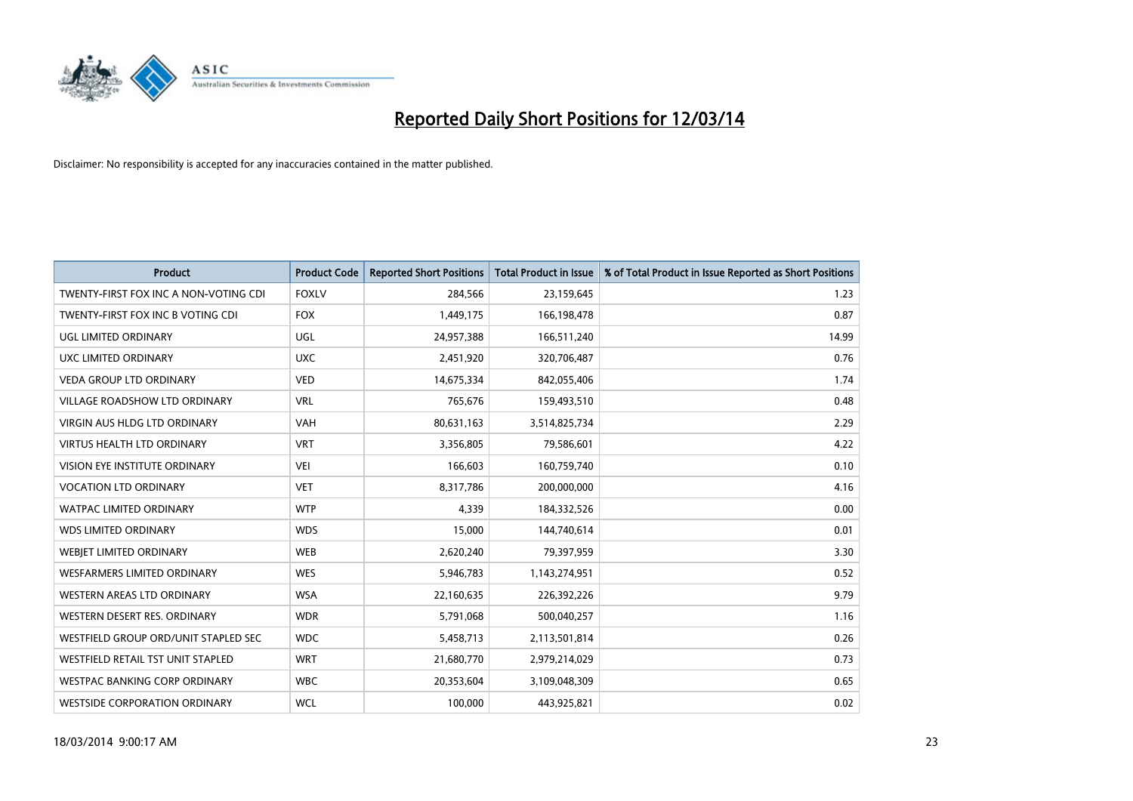

| <b>Product</b>                        | <b>Product Code</b> | <b>Reported Short Positions</b> | <b>Total Product in Issue</b> | % of Total Product in Issue Reported as Short Positions |
|---------------------------------------|---------------------|---------------------------------|-------------------------------|---------------------------------------------------------|
| TWENTY-FIRST FOX INC A NON-VOTING CDI | <b>FOXLV</b>        | 284,566                         | 23,159,645                    | 1.23                                                    |
| TWENTY-FIRST FOX INC B VOTING CDI     | <b>FOX</b>          | 1,449,175                       | 166,198,478                   | 0.87                                                    |
| UGL LIMITED ORDINARY                  | <b>UGL</b>          | 24,957,388                      | 166,511,240                   | 14.99                                                   |
| UXC LIMITED ORDINARY                  | <b>UXC</b>          | 2,451,920                       | 320,706,487                   | 0.76                                                    |
| <b>VEDA GROUP LTD ORDINARY</b>        | <b>VED</b>          | 14,675,334                      | 842,055,406                   | 1.74                                                    |
| <b>VILLAGE ROADSHOW LTD ORDINARY</b>  | <b>VRL</b>          | 765,676                         | 159,493,510                   | 0.48                                                    |
| <b>VIRGIN AUS HLDG LTD ORDINARY</b>   | <b>VAH</b>          | 80,631,163                      | 3,514,825,734                 | 2.29                                                    |
| <b>VIRTUS HEALTH LTD ORDINARY</b>     | <b>VRT</b>          | 3,356,805                       | 79,586,601                    | 4.22                                                    |
| <b>VISION EYE INSTITUTE ORDINARY</b>  | VEI                 | 166,603                         | 160,759,740                   | 0.10                                                    |
| <b>VOCATION LTD ORDINARY</b>          | <b>VET</b>          | 8,317,786                       | 200,000,000                   | 4.16                                                    |
| WATPAC LIMITED ORDINARY               | <b>WTP</b>          | 4,339                           | 184,332,526                   | 0.00                                                    |
| <b>WDS LIMITED ORDINARY</b>           | <b>WDS</b>          | 15,000                          | 144,740,614                   | 0.01                                                    |
| WEBIET LIMITED ORDINARY               | <b>WEB</b>          | 2,620,240                       | 79,397,959                    | 3.30                                                    |
| <b>WESFARMERS LIMITED ORDINARY</b>    | <b>WES</b>          | 5,946,783                       | 1,143,274,951                 | 0.52                                                    |
| <b>WESTERN AREAS LTD ORDINARY</b>     | <b>WSA</b>          | 22,160,635                      | 226,392,226                   | 9.79                                                    |
| WESTERN DESERT RES. ORDINARY          | <b>WDR</b>          | 5,791,068                       | 500,040,257                   | 1.16                                                    |
| WESTFIELD GROUP ORD/UNIT STAPLED SEC  | <b>WDC</b>          | 5,458,713                       | 2,113,501,814                 | 0.26                                                    |
| WESTFIELD RETAIL TST UNIT STAPLED     | <b>WRT</b>          | 21,680,770                      | 2,979,214,029                 | 0.73                                                    |
| <b>WESTPAC BANKING CORP ORDINARY</b>  | <b>WBC</b>          | 20,353,604                      | 3,109,048,309                 | 0.65                                                    |
| <b>WESTSIDE CORPORATION ORDINARY</b>  | <b>WCL</b>          | 100,000                         | 443,925,821                   | 0.02                                                    |